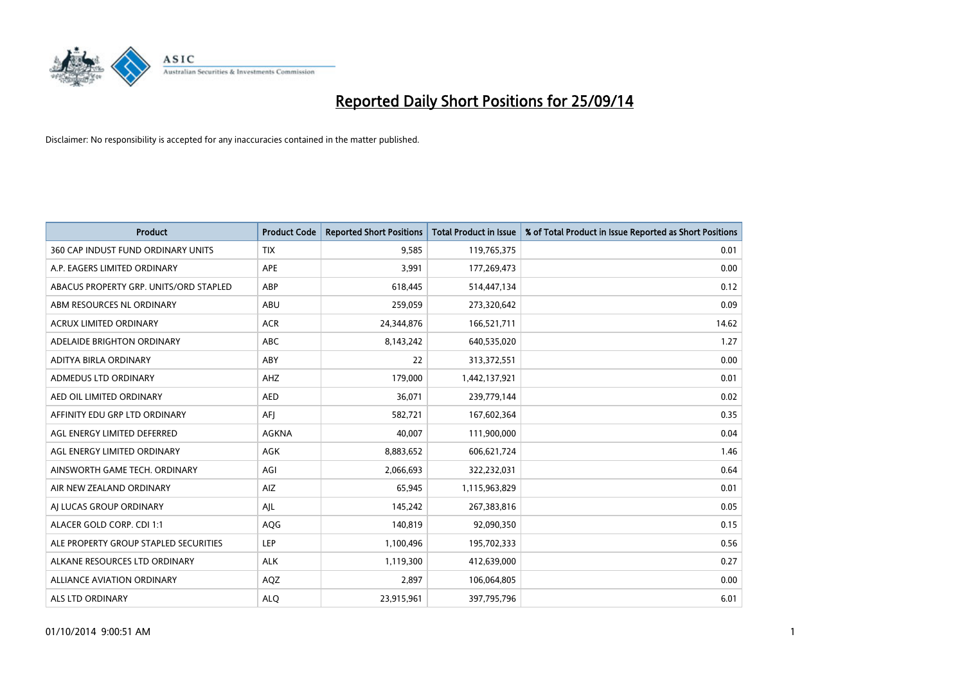

| <b>Product</b>                         | <b>Product Code</b> | <b>Reported Short Positions</b> | <b>Total Product in Issue</b> | % of Total Product in Issue Reported as Short Positions |
|----------------------------------------|---------------------|---------------------------------|-------------------------------|---------------------------------------------------------|
| 360 CAP INDUST FUND ORDINARY UNITS     | <b>TIX</b>          | 9,585                           | 119,765,375                   | 0.01                                                    |
| A.P. EAGERS LIMITED ORDINARY           | APE                 | 3,991                           | 177,269,473                   | 0.00                                                    |
| ABACUS PROPERTY GRP. UNITS/ORD STAPLED | ABP                 | 618,445                         | 514,447,134                   | 0.12                                                    |
| ABM RESOURCES NL ORDINARY              | ABU                 | 259,059                         | 273,320,642                   | 0.09                                                    |
| <b>ACRUX LIMITED ORDINARY</b>          | <b>ACR</b>          | 24,344,876                      | 166,521,711                   | 14.62                                                   |
| ADELAIDE BRIGHTON ORDINARY             | <b>ABC</b>          | 8,143,242                       | 640,535,020                   | 1.27                                                    |
| ADITYA BIRLA ORDINARY                  | ABY                 | 22                              | 313,372,551                   | 0.00                                                    |
| ADMEDUS LTD ORDINARY                   | AHZ                 | 179,000                         | 1,442,137,921                 | 0.01                                                    |
| AED OIL LIMITED ORDINARY               | <b>AED</b>          | 36,071                          | 239,779,144                   | 0.02                                                    |
| AFFINITY EDU GRP LTD ORDINARY          | AFI                 | 582,721                         | 167,602,364                   | 0.35                                                    |
| AGL ENERGY LIMITED DEFERRED            | <b>AGKNA</b>        | 40,007                          | 111,900,000                   | 0.04                                                    |
| AGL ENERGY LIMITED ORDINARY            | AGK                 | 8,883,652                       | 606,621,724                   | 1.46                                                    |
| AINSWORTH GAME TECH. ORDINARY          | AGI                 | 2,066,693                       | 322,232,031                   | 0.64                                                    |
| AIR NEW ZEALAND ORDINARY               | AIZ                 | 65,945                          | 1,115,963,829                 | 0.01                                                    |
| AI LUCAS GROUP ORDINARY                | AJL                 | 145,242                         | 267,383,816                   | 0.05                                                    |
| ALACER GOLD CORP. CDI 1:1              | AQG                 | 140,819                         | 92,090,350                    | 0.15                                                    |
| ALE PROPERTY GROUP STAPLED SECURITIES  | LEP                 | 1,100,496                       | 195,702,333                   | 0.56                                                    |
| ALKANE RESOURCES LTD ORDINARY          | <b>ALK</b>          | 1,119,300                       | 412,639,000                   | 0.27                                                    |
| <b>ALLIANCE AVIATION ORDINARY</b>      | AQZ                 | 2,897                           | 106,064,805                   | 0.00                                                    |
| ALS LTD ORDINARY                       | <b>ALO</b>          | 23,915,961                      | 397,795,796                   | 6.01                                                    |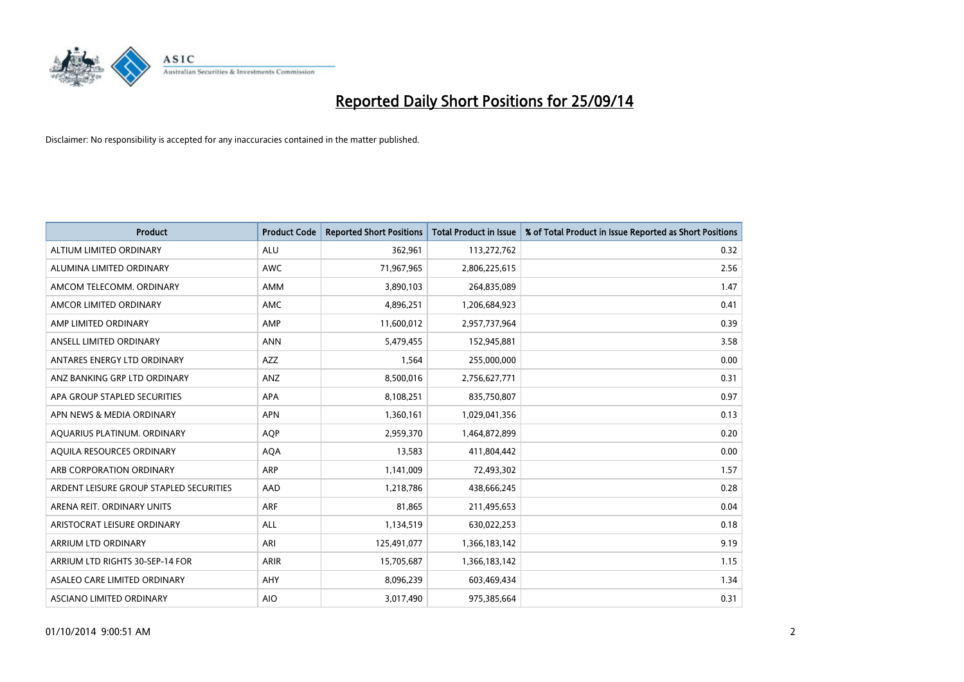

| <b>Product</b>                          | <b>Product Code</b> | <b>Reported Short Positions</b> | <b>Total Product in Issue</b> | % of Total Product in Issue Reported as Short Positions |
|-----------------------------------------|---------------------|---------------------------------|-------------------------------|---------------------------------------------------------|
| ALTIUM LIMITED ORDINARY                 | <b>ALU</b>          | 362,961                         | 113,272,762                   | 0.32                                                    |
| ALUMINA LIMITED ORDINARY                | AWC                 | 71,967,965                      | 2,806,225,615                 | 2.56                                                    |
| AMCOM TELECOMM. ORDINARY                | AMM                 | 3,890,103                       | 264,835,089                   | 1.47                                                    |
| AMCOR LIMITED ORDINARY                  | AMC                 | 4,896,251                       | 1,206,684,923                 | 0.41                                                    |
| AMP LIMITED ORDINARY                    | AMP                 | 11,600,012                      | 2,957,737,964                 | 0.39                                                    |
| ANSELL LIMITED ORDINARY                 | <b>ANN</b>          | 5,479,455                       | 152,945,881                   | 3.58                                                    |
| ANTARES ENERGY LTD ORDINARY             | AZZ                 | 1,564                           | 255,000,000                   | 0.00                                                    |
| ANZ BANKING GRP LTD ORDINARY            | ANZ                 | 8,500,016                       | 2,756,627,771                 | 0.31                                                    |
| APA GROUP STAPLED SECURITIES            | <b>APA</b>          | 8,108,251                       | 835,750,807                   | 0.97                                                    |
| APN NEWS & MEDIA ORDINARY               | <b>APN</b>          | 1,360,161                       | 1,029,041,356                 | 0.13                                                    |
| AQUARIUS PLATINUM. ORDINARY             | AQP                 | 2,959,370                       | 1,464,872,899                 | 0.20                                                    |
| AOUILA RESOURCES ORDINARY               | <b>AQA</b>          | 13,583                          | 411,804,442                   | 0.00                                                    |
| ARB CORPORATION ORDINARY                | ARP                 | 1,141,009                       | 72,493,302                    | 1.57                                                    |
| ARDENT LEISURE GROUP STAPLED SECURITIES | AAD                 | 1,218,786                       | 438,666,245                   | 0.28                                                    |
| ARENA REIT. ORDINARY UNITS              | <b>ARF</b>          | 81,865                          | 211,495,653                   | 0.04                                                    |
| ARISTOCRAT LEISURE ORDINARY             | ALL                 | 1,134,519                       | 630,022,253                   | 0.18                                                    |
| ARRIUM LTD ORDINARY                     | ARI                 | 125,491,077                     | 1,366,183,142                 | 9.19                                                    |
| ARRIUM LTD RIGHTS 30-SEP-14 FOR         | ARIR                | 15,705,687                      | 1,366,183,142                 | 1.15                                                    |
| ASALEO CARE LIMITED ORDINARY            | AHY                 | 8,096,239                       | 603,469,434                   | 1.34                                                    |
| ASCIANO LIMITED ORDINARY                | <b>AIO</b>          | 3,017,490                       | 975,385,664                   | 0.31                                                    |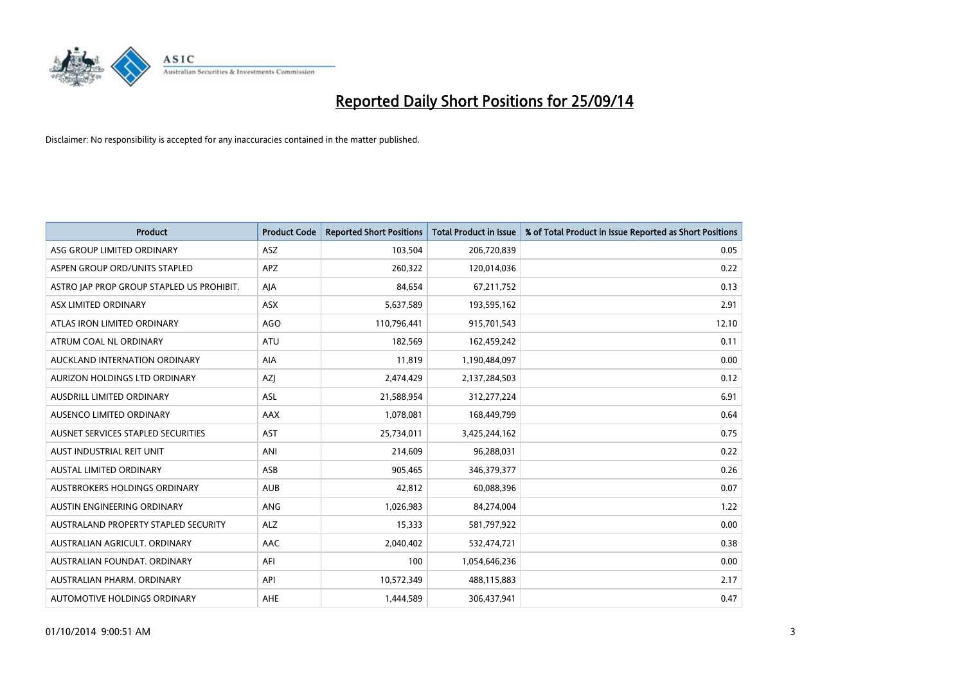

| <b>Product</b>                            | <b>Product Code</b> | <b>Reported Short Positions</b> | <b>Total Product in Issue</b> | % of Total Product in Issue Reported as Short Positions |
|-------------------------------------------|---------------------|---------------------------------|-------------------------------|---------------------------------------------------------|
| ASG GROUP LIMITED ORDINARY                | <b>ASZ</b>          | 103,504                         | 206,720,839                   | 0.05                                                    |
| ASPEN GROUP ORD/UNITS STAPLED             | APZ                 | 260,322                         | 120,014,036                   | 0.22                                                    |
| ASTRO JAP PROP GROUP STAPLED US PROHIBIT. | AJA                 | 84,654                          | 67,211,752                    | 0.13                                                    |
| ASX LIMITED ORDINARY                      | ASX                 | 5,637,589                       | 193,595,162                   | 2.91                                                    |
| ATLAS IRON LIMITED ORDINARY               | <b>AGO</b>          | 110,796,441                     | 915,701,543                   | 12.10                                                   |
| ATRUM COAL NL ORDINARY                    | ATU                 | 182,569                         | 162,459,242                   | 0.11                                                    |
| AUCKLAND INTERNATION ORDINARY             | <b>AIA</b>          | 11,819                          | 1,190,484,097                 | 0.00                                                    |
| AURIZON HOLDINGS LTD ORDINARY             | AZJ                 | 2,474,429                       | 2,137,284,503                 | 0.12                                                    |
| AUSDRILL LIMITED ORDINARY                 | ASL                 | 21,588,954                      | 312,277,224                   | 6.91                                                    |
| AUSENCO LIMITED ORDINARY                  | AAX                 | 1,078,081                       | 168,449,799                   | 0.64                                                    |
| AUSNET SERVICES STAPLED SECURITIES        | AST                 | 25,734,011                      | 3,425,244,162                 | 0.75                                                    |
| AUST INDUSTRIAL REIT UNIT                 | ANI                 | 214,609                         | 96,288,031                    | 0.22                                                    |
| AUSTAL LIMITED ORDINARY                   | ASB                 | 905,465                         | 346,379,377                   | 0.26                                                    |
| AUSTBROKERS HOLDINGS ORDINARY             | <b>AUB</b>          | 42,812                          | 60,088,396                    | 0.07                                                    |
| AUSTIN ENGINEERING ORDINARY               | ANG                 | 1,026,983                       | 84,274,004                    | 1.22                                                    |
| AUSTRALAND PROPERTY STAPLED SECURITY      | <b>ALZ</b>          | 15,333                          | 581,797,922                   | 0.00                                                    |
| AUSTRALIAN AGRICULT, ORDINARY             | AAC                 | 2,040,402                       | 532,474,721                   | 0.38                                                    |
| AUSTRALIAN FOUNDAT, ORDINARY              | AFI                 | 100                             | 1,054,646,236                 | 0.00                                                    |
| AUSTRALIAN PHARM, ORDINARY                | API                 | 10,572,349                      | 488,115,883                   | 2.17                                                    |
| AUTOMOTIVE HOLDINGS ORDINARY              | AHE                 | 1,444,589                       | 306,437,941                   | 0.47                                                    |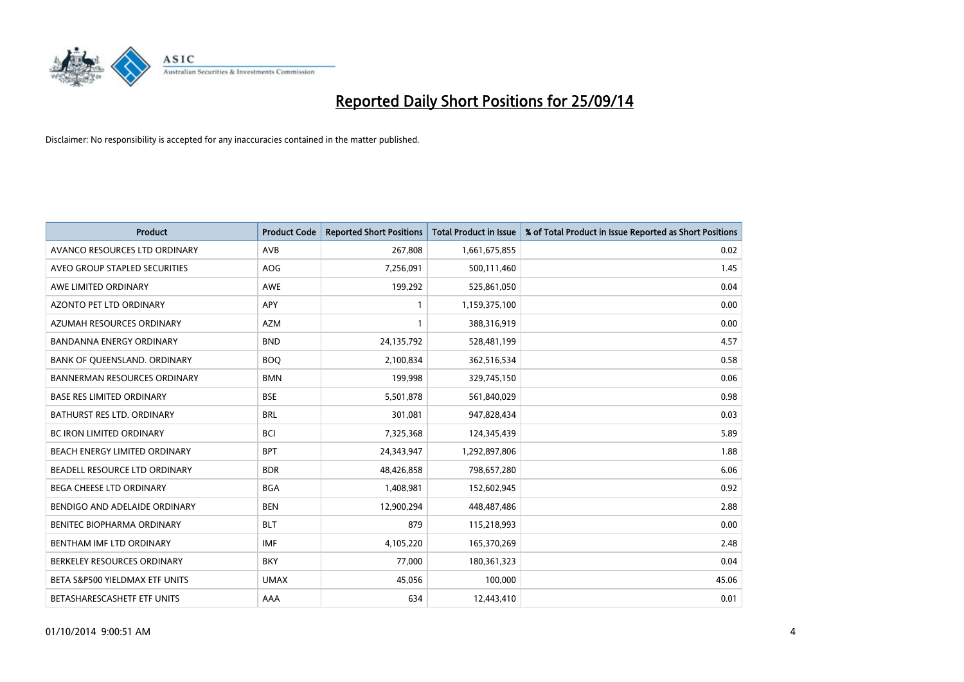

| <b>Product</b>                      | <b>Product Code</b> | <b>Reported Short Positions</b> | <b>Total Product in Issue</b> | % of Total Product in Issue Reported as Short Positions |
|-------------------------------------|---------------------|---------------------------------|-------------------------------|---------------------------------------------------------|
| AVANCO RESOURCES LTD ORDINARY       | AVB                 | 267,808                         | 1,661,675,855                 | 0.02                                                    |
| AVEO GROUP STAPLED SECURITIES       | AOG                 | 7,256,091                       | 500,111,460                   | 1.45                                                    |
| AWE LIMITED ORDINARY                | AWE                 | 199,292                         | 525,861,050                   | 0.04                                                    |
| AZONTO PET LTD ORDINARY             | APY                 | $\mathbf{1}$                    | 1,159,375,100                 | 0.00                                                    |
| AZUMAH RESOURCES ORDINARY           | <b>AZM</b>          | 1                               | 388,316,919                   | 0.00                                                    |
| <b>BANDANNA ENERGY ORDINARY</b>     | <b>BND</b>          | 24,135,792                      | 528,481,199                   | 4.57                                                    |
| BANK OF QUEENSLAND. ORDINARY        | <b>BOO</b>          | 2,100,834                       | 362,516,534                   | 0.58                                                    |
| <b>BANNERMAN RESOURCES ORDINARY</b> | <b>BMN</b>          | 199,998                         | 329,745,150                   | 0.06                                                    |
| <b>BASE RES LIMITED ORDINARY</b>    | <b>BSE</b>          | 5,501,878                       | 561,840,029                   | 0.98                                                    |
| <b>BATHURST RES LTD. ORDINARY</b>   | <b>BRL</b>          | 301,081                         | 947,828,434                   | 0.03                                                    |
| BC IRON LIMITED ORDINARY            | <b>BCI</b>          | 7,325,368                       | 124,345,439                   | 5.89                                                    |
| BEACH ENERGY LIMITED ORDINARY       | <b>BPT</b>          | 24,343,947                      | 1,292,897,806                 | 1.88                                                    |
| BEADELL RESOURCE LTD ORDINARY       | <b>BDR</b>          | 48,426,858                      | 798,657,280                   | 6.06                                                    |
| BEGA CHEESE LTD ORDINARY            | <b>BGA</b>          | 1,408,981                       | 152,602,945                   | 0.92                                                    |
| BENDIGO AND ADELAIDE ORDINARY       | <b>BEN</b>          | 12,900,294                      | 448,487,486                   | 2.88                                                    |
| BENITEC BIOPHARMA ORDINARY          | <b>BLT</b>          | 879                             | 115,218,993                   | 0.00                                                    |
| BENTHAM IMF LTD ORDINARY            | <b>IMF</b>          | 4,105,220                       | 165,370,269                   | 2.48                                                    |
| BERKELEY RESOURCES ORDINARY         | <b>BKY</b>          | 77,000                          | 180,361,323                   | 0.04                                                    |
| BETA S&P500 YIELDMAX ETF UNITS      | <b>UMAX</b>         | 45,056                          | 100,000                       | 45.06                                                   |
| BETASHARESCASHETF ETF UNITS         | AAA                 | 634                             | 12,443,410                    | 0.01                                                    |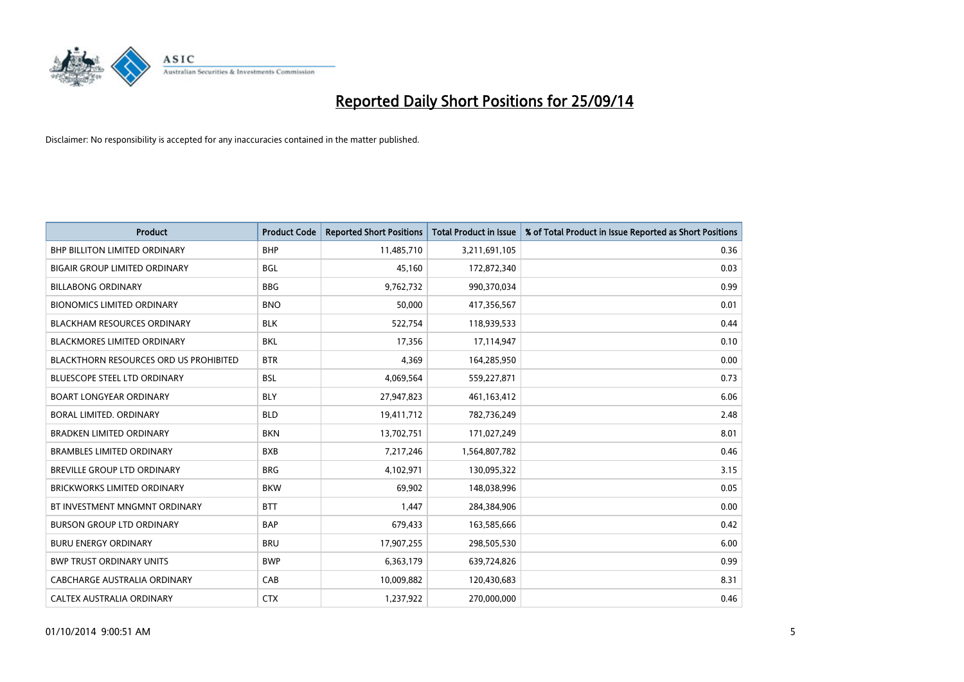

| <b>Product</b>                                | <b>Product Code</b> | <b>Reported Short Positions</b> | <b>Total Product in Issue</b> | % of Total Product in Issue Reported as Short Positions |
|-----------------------------------------------|---------------------|---------------------------------|-------------------------------|---------------------------------------------------------|
| <b>BHP BILLITON LIMITED ORDINARY</b>          | <b>BHP</b>          | 11,485,710                      | 3,211,691,105                 | 0.36                                                    |
| <b>BIGAIR GROUP LIMITED ORDINARY</b>          | <b>BGL</b>          | 45,160                          | 172,872,340                   | 0.03                                                    |
| <b>BILLABONG ORDINARY</b>                     | <b>BBG</b>          | 9,762,732                       | 990,370,034                   | 0.99                                                    |
| <b>BIONOMICS LIMITED ORDINARY</b>             | <b>BNO</b>          | 50,000                          | 417,356,567                   | 0.01                                                    |
| <b>BLACKHAM RESOURCES ORDINARY</b>            | <b>BLK</b>          | 522,754                         | 118,939,533                   | 0.44                                                    |
| <b>BLACKMORES LIMITED ORDINARY</b>            | <b>BKL</b>          | 17,356                          | 17,114,947                    | 0.10                                                    |
| <b>BLACKTHORN RESOURCES ORD US PROHIBITED</b> | <b>BTR</b>          | 4,369                           | 164,285,950                   | 0.00                                                    |
| <b>BLUESCOPE STEEL LTD ORDINARY</b>           | <b>BSL</b>          | 4,069,564                       | 559,227,871                   | 0.73                                                    |
| <b>BOART LONGYEAR ORDINARY</b>                | <b>BLY</b>          | 27,947,823                      | 461,163,412                   | 6.06                                                    |
| <b>BORAL LIMITED, ORDINARY</b>                | <b>BLD</b>          | 19,411,712                      | 782,736,249                   | 2.48                                                    |
| <b>BRADKEN LIMITED ORDINARY</b>               | <b>BKN</b>          | 13,702,751                      | 171,027,249                   | 8.01                                                    |
| <b>BRAMBLES LIMITED ORDINARY</b>              | <b>BXB</b>          | 7,217,246                       | 1,564,807,782                 | 0.46                                                    |
| <b>BREVILLE GROUP LTD ORDINARY</b>            | <b>BRG</b>          | 4,102,971                       | 130,095,322                   | 3.15                                                    |
| <b>BRICKWORKS LIMITED ORDINARY</b>            | <b>BKW</b>          | 69.902                          | 148,038,996                   | 0.05                                                    |
| BT INVESTMENT MNGMNT ORDINARY                 | <b>BTT</b>          | 1,447                           | 284,384,906                   | 0.00                                                    |
| <b>BURSON GROUP LTD ORDINARY</b>              | <b>BAP</b>          | 679,433                         | 163,585,666                   | 0.42                                                    |
| <b>BURU ENERGY ORDINARY</b>                   | <b>BRU</b>          | 17,907,255                      | 298,505,530                   | 6.00                                                    |
| <b>BWP TRUST ORDINARY UNITS</b>               | <b>BWP</b>          | 6,363,179                       | 639,724,826                   | 0.99                                                    |
| <b>CABCHARGE AUSTRALIA ORDINARY</b>           | CAB                 | 10,009,882                      | 120,430,683                   | 8.31                                                    |
| CALTEX AUSTRALIA ORDINARY                     | <b>CTX</b>          | 1,237,922                       | 270,000,000                   | 0.46                                                    |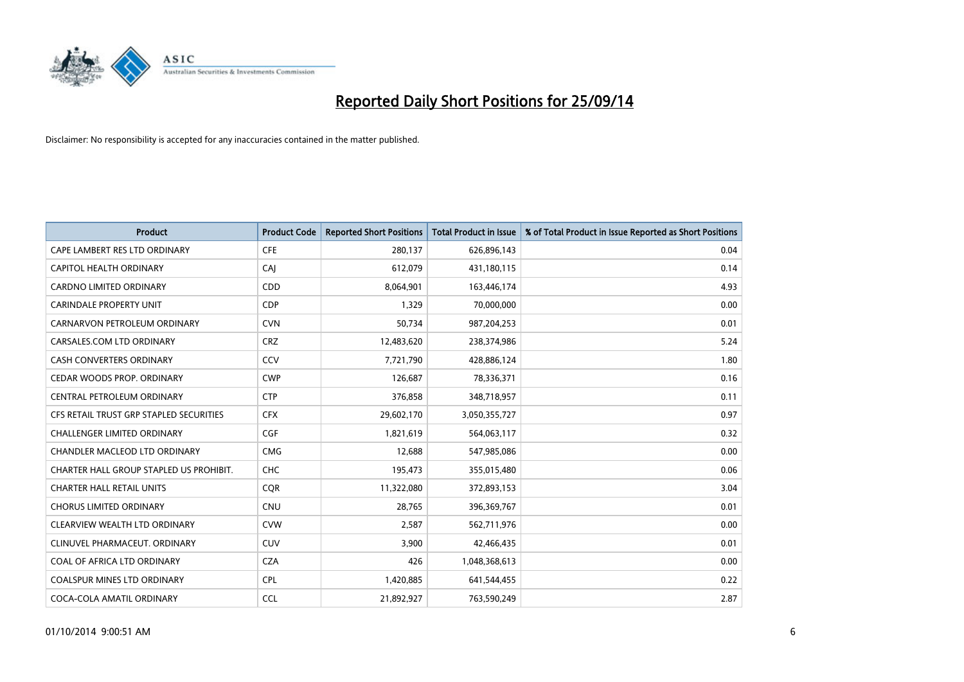

| <b>Product</b>                          | <b>Product Code</b> | <b>Reported Short Positions</b> | <b>Total Product in Issue</b> | % of Total Product in Issue Reported as Short Positions |
|-----------------------------------------|---------------------|---------------------------------|-------------------------------|---------------------------------------------------------|
| CAPE LAMBERT RES LTD ORDINARY           | <b>CFE</b>          | 280,137                         | 626,896,143                   | 0.04                                                    |
| CAPITOL HEALTH ORDINARY                 | CAI                 | 612,079                         | 431,180,115                   | 0.14                                                    |
| <b>CARDNO LIMITED ORDINARY</b>          | <b>CDD</b>          | 8,064,901                       | 163,446,174                   | 4.93                                                    |
| <b>CARINDALE PROPERTY UNIT</b>          | <b>CDP</b>          | 1,329                           | 70,000,000                    | 0.00                                                    |
| CARNARVON PETROLEUM ORDINARY            | <b>CVN</b>          | 50,734                          | 987,204,253                   | 0.01                                                    |
| CARSALES.COM LTD ORDINARY               | <b>CRZ</b>          | 12,483,620                      | 238,374,986                   | 5.24                                                    |
| <b>CASH CONVERTERS ORDINARY</b>         | CCV                 | 7,721,790                       | 428,886,124                   | 1.80                                                    |
| CEDAR WOODS PROP. ORDINARY              | <b>CWP</b>          | 126,687                         | 78,336,371                    | 0.16                                                    |
| CENTRAL PETROLEUM ORDINARY              | <b>CTP</b>          | 376,858                         | 348,718,957                   | 0.11                                                    |
| CFS RETAIL TRUST GRP STAPLED SECURITIES | <b>CFX</b>          | 29,602,170                      | 3,050,355,727                 | 0.97                                                    |
| CHALLENGER LIMITED ORDINARY             | <b>CGF</b>          | 1,821,619                       | 564,063,117                   | 0.32                                                    |
| CHANDLER MACLEOD LTD ORDINARY           | <b>CMG</b>          | 12,688                          | 547,985,086                   | 0.00                                                    |
| CHARTER HALL GROUP STAPLED US PROHIBIT. | <b>CHC</b>          | 195,473                         | 355,015,480                   | 0.06                                                    |
| <b>CHARTER HALL RETAIL UNITS</b>        | <b>COR</b>          | 11,322,080                      | 372,893,153                   | 3.04                                                    |
| <b>CHORUS LIMITED ORDINARY</b>          | CNU                 | 28,765                          | 396,369,767                   | 0.01                                                    |
| CLEARVIEW WEALTH LTD ORDINARY           | <b>CVW</b>          | 2,587                           | 562,711,976                   | 0.00                                                    |
| CLINUVEL PHARMACEUT. ORDINARY           | <b>CUV</b>          | 3,900                           | 42,466,435                    | 0.01                                                    |
| COAL OF AFRICA LTD ORDINARY             | <b>CZA</b>          | 426                             | 1,048,368,613                 | 0.00                                                    |
| <b>COALSPUR MINES LTD ORDINARY</b>      | <b>CPL</b>          | 1,420,885                       | 641,544,455                   | 0.22                                                    |
| COCA-COLA AMATIL ORDINARY               | <b>CCL</b>          | 21,892,927                      | 763,590,249                   | 2.87                                                    |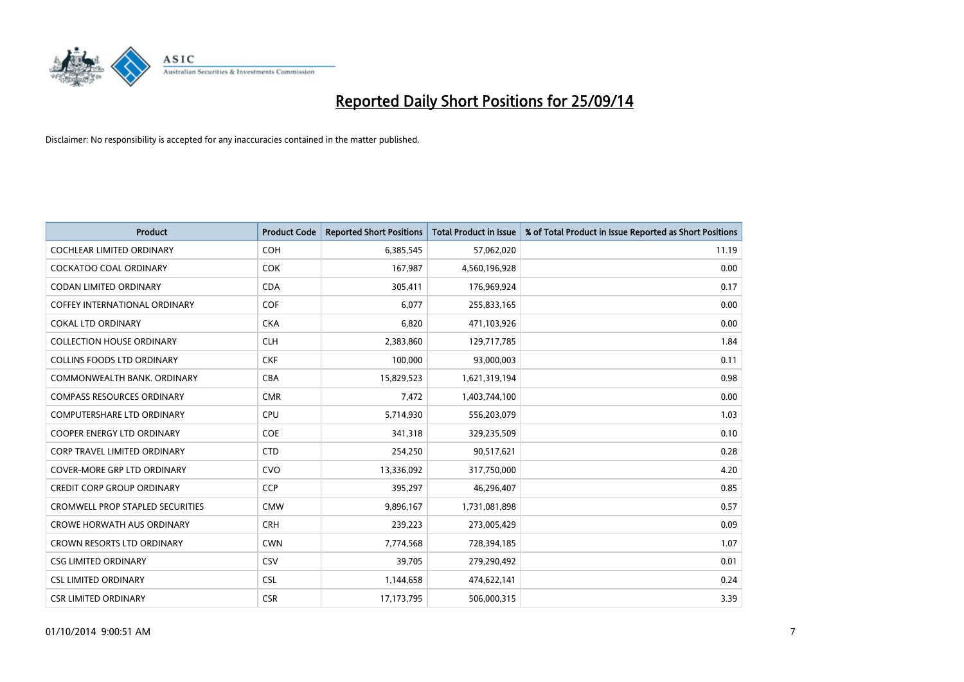

| <b>Product</b>                          | <b>Product Code</b> | <b>Reported Short Positions</b> | <b>Total Product in Issue</b> | % of Total Product in Issue Reported as Short Positions |
|-----------------------------------------|---------------------|---------------------------------|-------------------------------|---------------------------------------------------------|
| <b>COCHLEAR LIMITED ORDINARY</b>        | <b>COH</b>          | 6,385,545                       | 57,062,020                    | 11.19                                                   |
| <b>COCKATOO COAL ORDINARY</b>           | <b>COK</b>          | 167,987                         | 4,560,196,928                 | 0.00                                                    |
| <b>CODAN LIMITED ORDINARY</b>           | <b>CDA</b>          | 305,411                         | 176,969,924                   | 0.17                                                    |
| <b>COFFEY INTERNATIONAL ORDINARY</b>    | <b>COF</b>          | 6,077                           | 255,833,165                   | 0.00                                                    |
| <b>COKAL LTD ORDINARY</b>               | <b>CKA</b>          | 6,820                           | 471,103,926                   | 0.00                                                    |
| <b>COLLECTION HOUSE ORDINARY</b>        | <b>CLH</b>          | 2,383,860                       | 129,717,785                   | 1.84                                                    |
| <b>COLLINS FOODS LTD ORDINARY</b>       | <b>CKF</b>          | 100,000                         | 93,000,003                    | 0.11                                                    |
| COMMONWEALTH BANK, ORDINARY             | <b>CBA</b>          | 15,829,523                      | 1,621,319,194                 | 0.98                                                    |
| <b>COMPASS RESOURCES ORDINARY</b>       | <b>CMR</b>          | 7,472                           | 1,403,744,100                 | 0.00                                                    |
| <b>COMPUTERSHARE LTD ORDINARY</b>       | <b>CPU</b>          | 5,714,930                       | 556,203,079                   | 1.03                                                    |
| COOPER ENERGY LTD ORDINARY              | <b>COE</b>          | 341,318                         | 329,235,509                   | 0.10                                                    |
| <b>CORP TRAVEL LIMITED ORDINARY</b>     | <b>CTD</b>          | 254,250                         | 90,517,621                    | 0.28                                                    |
| COVER-MORE GRP LTD ORDINARY             | <b>CVO</b>          | 13,336,092                      | 317,750,000                   | 4.20                                                    |
| <b>CREDIT CORP GROUP ORDINARY</b>       | <b>CCP</b>          | 395,297                         | 46,296,407                    | 0.85                                                    |
| <b>CROMWELL PROP STAPLED SECURITIES</b> | <b>CMW</b>          | 9,896,167                       | 1,731,081,898                 | 0.57                                                    |
| <b>CROWE HORWATH AUS ORDINARY</b>       | <b>CRH</b>          | 239,223                         | 273,005,429                   | 0.09                                                    |
| CROWN RESORTS LTD ORDINARY              | <b>CWN</b>          | 7,774,568                       | 728,394,185                   | 1.07                                                    |
| <b>CSG LIMITED ORDINARY</b>             | CSV                 | 39,705                          | 279,290,492                   | 0.01                                                    |
| <b>CSL LIMITED ORDINARY</b>             | <b>CSL</b>          | 1,144,658                       | 474,622,141                   | 0.24                                                    |
| <b>CSR LIMITED ORDINARY</b>             | <b>CSR</b>          | 17, 173, 795                    | 506,000,315                   | 3.39                                                    |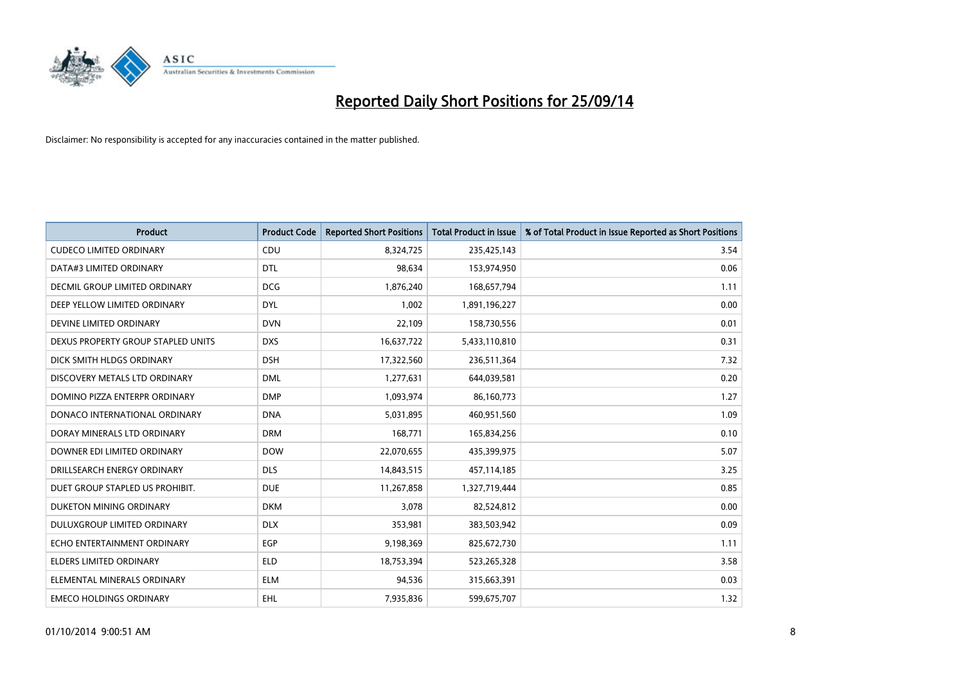

| <b>Product</b>                     | <b>Product Code</b> | <b>Reported Short Positions</b> | <b>Total Product in Issue</b> | % of Total Product in Issue Reported as Short Positions |
|------------------------------------|---------------------|---------------------------------|-------------------------------|---------------------------------------------------------|
| <b>CUDECO LIMITED ORDINARY</b>     | CDU                 | 8,324,725                       | 235,425,143                   | 3.54                                                    |
| DATA#3 LIMITED ORDINARY            | <b>DTL</b>          | 98,634                          | 153,974,950                   | 0.06                                                    |
| DECMIL GROUP LIMITED ORDINARY      | <b>DCG</b>          | 1,876,240                       | 168,657,794                   | 1.11                                                    |
| DEEP YELLOW LIMITED ORDINARY       | <b>DYL</b>          | 1,002                           | 1,891,196,227                 | 0.00                                                    |
| DEVINE LIMITED ORDINARY            | <b>DVN</b>          | 22,109                          | 158,730,556                   | 0.01                                                    |
| DEXUS PROPERTY GROUP STAPLED UNITS | <b>DXS</b>          | 16,637,722                      | 5,433,110,810                 | 0.31                                                    |
| DICK SMITH HLDGS ORDINARY          | <b>DSH</b>          | 17,322,560                      | 236,511,364                   | 7.32                                                    |
| DISCOVERY METALS LTD ORDINARY      | <b>DML</b>          | 1,277,631                       | 644,039,581                   | 0.20                                                    |
| DOMINO PIZZA ENTERPR ORDINARY      | <b>DMP</b>          | 1,093,974                       | 86,160,773                    | 1.27                                                    |
| DONACO INTERNATIONAL ORDINARY      | <b>DNA</b>          | 5,031,895                       | 460,951,560                   | 1.09                                                    |
| DORAY MINERALS LTD ORDINARY        | <b>DRM</b>          | 168,771                         | 165,834,256                   | 0.10                                                    |
| DOWNER EDI LIMITED ORDINARY        | <b>DOW</b>          | 22,070,655                      | 435,399,975                   | 5.07                                                    |
| DRILLSEARCH ENERGY ORDINARY        | <b>DLS</b>          | 14,843,515                      | 457,114,185                   | 3.25                                                    |
| DUET GROUP STAPLED US PROHIBIT.    | <b>DUE</b>          | 11,267,858                      | 1,327,719,444                 | 0.85                                                    |
| DUKETON MINING ORDINARY            | <b>DKM</b>          | 3,078                           | 82,524,812                    | 0.00                                                    |
| DULUXGROUP LIMITED ORDINARY        | <b>DLX</b>          | 353,981                         | 383,503,942                   | 0.09                                                    |
| ECHO ENTERTAINMENT ORDINARY        | <b>EGP</b>          | 9,198,369                       | 825,672,730                   | 1.11                                                    |
| <b>ELDERS LIMITED ORDINARY</b>     | <b>ELD</b>          | 18,753,394                      | 523,265,328                   | 3.58                                                    |
| ELEMENTAL MINERALS ORDINARY        | <b>ELM</b>          | 94,536                          | 315,663,391                   | 0.03                                                    |
| <b>EMECO HOLDINGS ORDINARY</b>     | EHL                 | 7,935,836                       | 599,675,707                   | 1.32                                                    |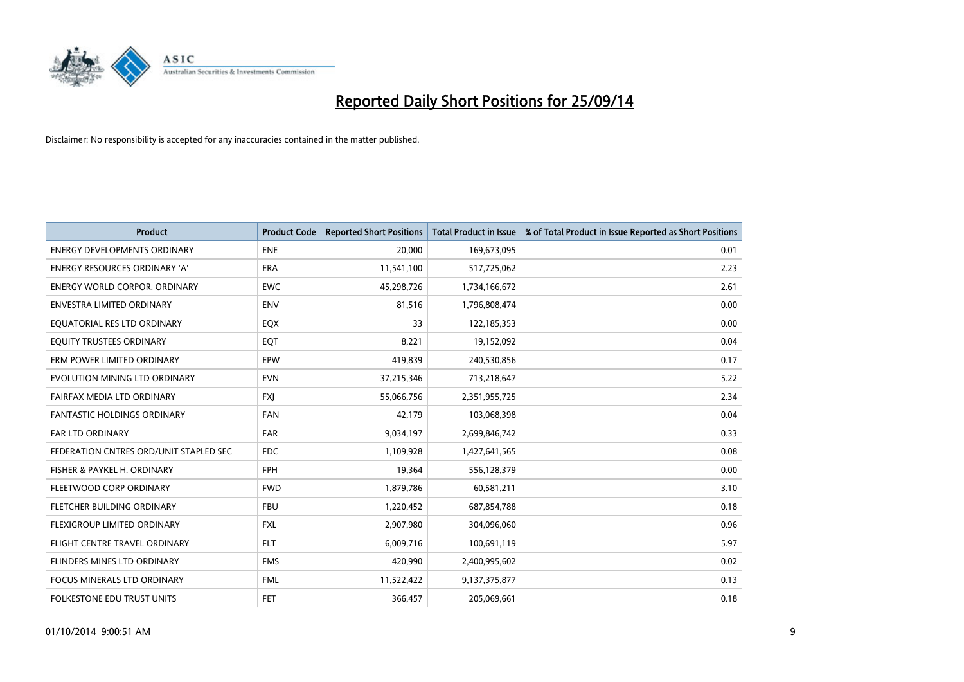

| <b>Product</b>                         | <b>Product Code</b> | <b>Reported Short Positions</b> | <b>Total Product in Issue</b> | % of Total Product in Issue Reported as Short Positions |
|----------------------------------------|---------------------|---------------------------------|-------------------------------|---------------------------------------------------------|
| <b>ENERGY DEVELOPMENTS ORDINARY</b>    | <b>ENE</b>          | 20,000                          | 169,673,095                   | 0.01                                                    |
| ENERGY RESOURCES ORDINARY 'A'          | <b>ERA</b>          | 11,541,100                      | 517,725,062                   | 2.23                                                    |
| ENERGY WORLD CORPOR. ORDINARY          | <b>EWC</b>          | 45,298,726                      | 1,734,166,672                 | 2.61                                                    |
| ENVESTRA LIMITED ORDINARY              | <b>ENV</b>          | 81,516                          | 1,796,808,474                 | 0.00                                                    |
| EQUATORIAL RES LTD ORDINARY            | EQX                 | 33                              | 122,185,353                   | 0.00                                                    |
| EQUITY TRUSTEES ORDINARY               | EQT                 | 8,221                           | 19,152,092                    | 0.04                                                    |
| ERM POWER LIMITED ORDINARY             | <b>EPW</b>          | 419,839                         | 240,530,856                   | 0.17                                                    |
| EVOLUTION MINING LTD ORDINARY          | <b>EVN</b>          | 37,215,346                      | 713,218,647                   | 5.22                                                    |
| FAIRFAX MEDIA LTD ORDINARY             | <b>FXI</b>          | 55,066,756                      | 2,351,955,725                 | 2.34                                                    |
| <b>FANTASTIC HOLDINGS ORDINARY</b>     | <b>FAN</b>          | 42,179                          | 103,068,398                   | 0.04                                                    |
| <b>FAR LTD ORDINARY</b>                | <b>FAR</b>          | 9,034,197                       | 2,699,846,742                 | 0.33                                                    |
| FEDERATION CNTRES ORD/UNIT STAPLED SEC | FDC                 | 1,109,928                       | 1,427,641,565                 | 0.08                                                    |
| FISHER & PAYKEL H. ORDINARY            | <b>FPH</b>          | 19,364                          | 556,128,379                   | 0.00                                                    |
| FLEETWOOD CORP ORDINARY                | <b>FWD</b>          | 1,879,786                       | 60,581,211                    | 3.10                                                    |
| FLETCHER BUILDING ORDINARY             | <b>FBU</b>          | 1,220,452                       | 687,854,788                   | 0.18                                                    |
| FLEXIGROUP LIMITED ORDINARY            | <b>FXL</b>          | 2,907,980                       | 304,096,060                   | 0.96                                                    |
| <b>FLIGHT CENTRE TRAVEL ORDINARY</b>   | <b>FLT</b>          | 6,009,716                       | 100,691,119                   | 5.97                                                    |
| FLINDERS MINES LTD ORDINARY            | <b>FMS</b>          | 420,990                         | 2,400,995,602                 | 0.02                                                    |
| <b>FOCUS MINERALS LTD ORDINARY</b>     | <b>FML</b>          | 11,522,422                      | 9,137,375,877                 | 0.13                                                    |
| FOLKESTONE EDU TRUST UNITS             | <b>FET</b>          | 366,457                         | 205,069,661                   | 0.18                                                    |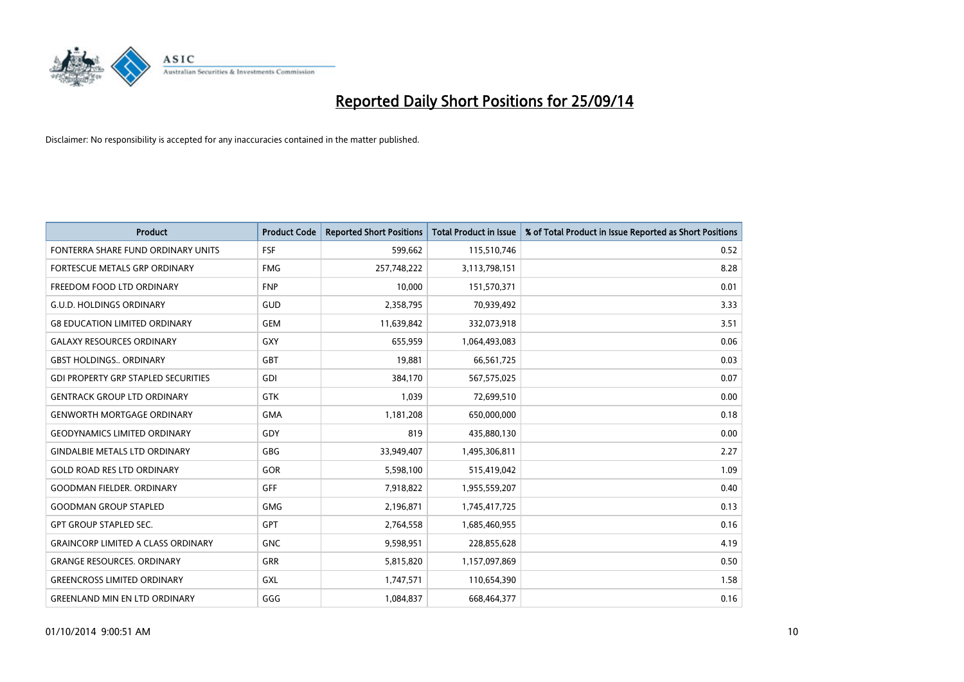

| <b>Product</b>                             | <b>Product Code</b> | <b>Reported Short Positions</b> | <b>Total Product in Issue</b> | % of Total Product in Issue Reported as Short Positions |
|--------------------------------------------|---------------------|---------------------------------|-------------------------------|---------------------------------------------------------|
| FONTERRA SHARE FUND ORDINARY UNITS         | <b>FSF</b>          | 599,662                         | 115,510,746                   | 0.52                                                    |
| FORTESCUE METALS GRP ORDINARY              | <b>FMG</b>          | 257,748,222                     | 3,113,798,151                 | 8.28                                                    |
| FREEDOM FOOD LTD ORDINARY                  | <b>FNP</b>          | 10,000                          | 151,570,371                   | 0.01                                                    |
| <b>G.U.D. HOLDINGS ORDINARY</b>            | GUD                 | 2,358,795                       | 70,939,492                    | 3.33                                                    |
| <b>G8 EDUCATION LIMITED ORDINARY</b>       | <b>GEM</b>          | 11,639,842                      | 332,073,918                   | 3.51                                                    |
| <b>GALAXY RESOURCES ORDINARY</b>           | <b>GXY</b>          | 655,959                         | 1,064,493,083                 | 0.06                                                    |
| <b>GBST HOLDINGS ORDINARY</b>              | <b>GBT</b>          | 19,881                          | 66,561,725                    | 0.03                                                    |
| <b>GDI PROPERTY GRP STAPLED SECURITIES</b> | GDI                 | 384,170                         | 567,575,025                   | 0.07                                                    |
| <b>GENTRACK GROUP LTD ORDINARY</b>         | <b>GTK</b>          | 1,039                           | 72,699,510                    | 0.00                                                    |
| <b>GENWORTH MORTGAGE ORDINARY</b>          | <b>GMA</b>          | 1,181,208                       | 650,000,000                   | 0.18                                                    |
| <b>GEODYNAMICS LIMITED ORDINARY</b>        | GDY                 | 819                             | 435,880,130                   | 0.00                                                    |
| <b>GINDALBIE METALS LTD ORDINARY</b>       | GBG                 | 33,949,407                      | 1,495,306,811                 | 2.27                                                    |
| <b>GOLD ROAD RES LTD ORDINARY</b>          | GOR                 | 5,598,100                       | 515,419,042                   | 1.09                                                    |
| <b>GOODMAN FIELDER, ORDINARY</b>           | GFF                 | 7,918,822                       | 1,955,559,207                 | 0.40                                                    |
| <b>GOODMAN GROUP STAPLED</b>               | <b>GMG</b>          | 2,196,871                       | 1,745,417,725                 | 0.13                                                    |
| <b>GPT GROUP STAPLED SEC.</b>              | GPT                 | 2,764,558                       | 1,685,460,955                 | 0.16                                                    |
| <b>GRAINCORP LIMITED A CLASS ORDINARY</b>  | <b>GNC</b>          | 9,598,951                       | 228,855,628                   | 4.19                                                    |
| <b>GRANGE RESOURCES. ORDINARY</b>          | GRR                 | 5,815,820                       | 1,157,097,869                 | 0.50                                                    |
| <b>GREENCROSS LIMITED ORDINARY</b>         | GXL                 | 1,747,571                       | 110,654,390                   | 1.58                                                    |
| <b>GREENLAND MIN EN LTD ORDINARY</b>       | GGG                 | 1,084,837                       | 668,464,377                   | 0.16                                                    |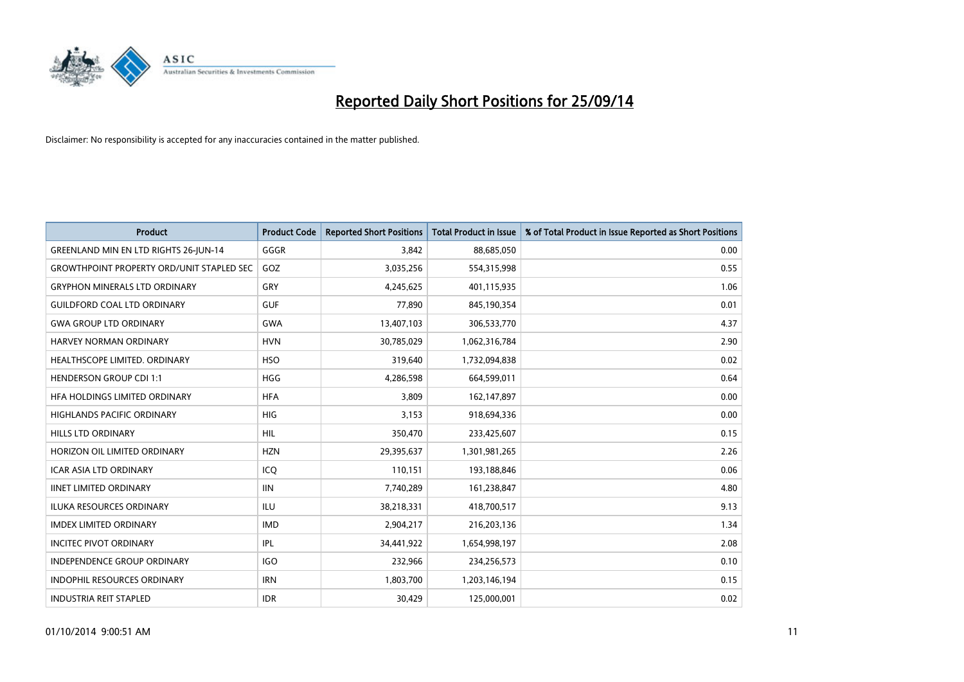

| <b>Product</b>                                   | <b>Product Code</b> | <b>Reported Short Positions</b> | <b>Total Product in Issue</b> | % of Total Product in Issue Reported as Short Positions |
|--------------------------------------------------|---------------------|---------------------------------|-------------------------------|---------------------------------------------------------|
| <b>GREENLAND MIN EN LTD RIGHTS 26-JUN-14</b>     | GGGR                | 3,842                           | 88,685,050                    | 0.00                                                    |
| <b>GROWTHPOINT PROPERTY ORD/UNIT STAPLED SEC</b> | GOZ                 | 3,035,256                       | 554,315,998                   | 0.55                                                    |
| <b>GRYPHON MINERALS LTD ORDINARY</b>             | GRY                 | 4,245,625                       | 401,115,935                   | 1.06                                                    |
| <b>GUILDFORD COAL LTD ORDINARY</b>               | <b>GUF</b>          | 77,890                          | 845,190,354                   | 0.01                                                    |
| <b>GWA GROUP LTD ORDINARY</b>                    | <b>GWA</b>          | 13,407,103                      | 306,533,770                   | 4.37                                                    |
| <b>HARVEY NORMAN ORDINARY</b>                    | <b>HVN</b>          | 30,785,029                      | 1,062,316,784                 | 2.90                                                    |
| <b>HEALTHSCOPE LIMITED, ORDINARY</b>             | <b>HSO</b>          | 319,640                         | 1,732,094,838                 | 0.02                                                    |
| <b>HENDERSON GROUP CDI 1:1</b>                   | <b>HGG</b>          | 4,286,598                       | 664,599,011                   | 0.64                                                    |
| HFA HOLDINGS LIMITED ORDINARY                    | <b>HFA</b>          | 3,809                           | 162,147,897                   | 0.00                                                    |
| <b>HIGHLANDS PACIFIC ORDINARY</b>                | <b>HIG</b>          | 3,153                           | 918,694,336                   | 0.00                                                    |
| HILLS LTD ORDINARY                               | <b>HIL</b>          | 350,470                         | 233,425,607                   | 0.15                                                    |
| HORIZON OIL LIMITED ORDINARY                     | <b>HZN</b>          | 29,395,637                      | 1,301,981,265                 | 2.26                                                    |
| <b>ICAR ASIA LTD ORDINARY</b>                    | ICO                 | 110,151                         | 193,188,846                   | 0.06                                                    |
| <b>IINET LIMITED ORDINARY</b>                    | <b>IIN</b>          | 7,740,289                       | 161,238,847                   | 4.80                                                    |
| <b>ILUKA RESOURCES ORDINARY</b>                  | <b>ILU</b>          | 38,218,331                      | 418,700,517                   | 9.13                                                    |
| <b>IMDEX LIMITED ORDINARY</b>                    | <b>IMD</b>          | 2,904,217                       | 216,203,136                   | 1.34                                                    |
| <b>INCITEC PIVOT ORDINARY</b>                    | IPL                 | 34,441,922                      | 1,654,998,197                 | 2.08                                                    |
| INDEPENDENCE GROUP ORDINARY                      | <b>IGO</b>          | 232,966                         | 234,256,573                   | 0.10                                                    |
| <b>INDOPHIL RESOURCES ORDINARY</b>               | <b>IRN</b>          | 1,803,700                       | 1,203,146,194                 | 0.15                                                    |
| <b>INDUSTRIA REIT STAPLED</b>                    | <b>IDR</b>          | 30,429                          | 125,000,001                   | 0.02                                                    |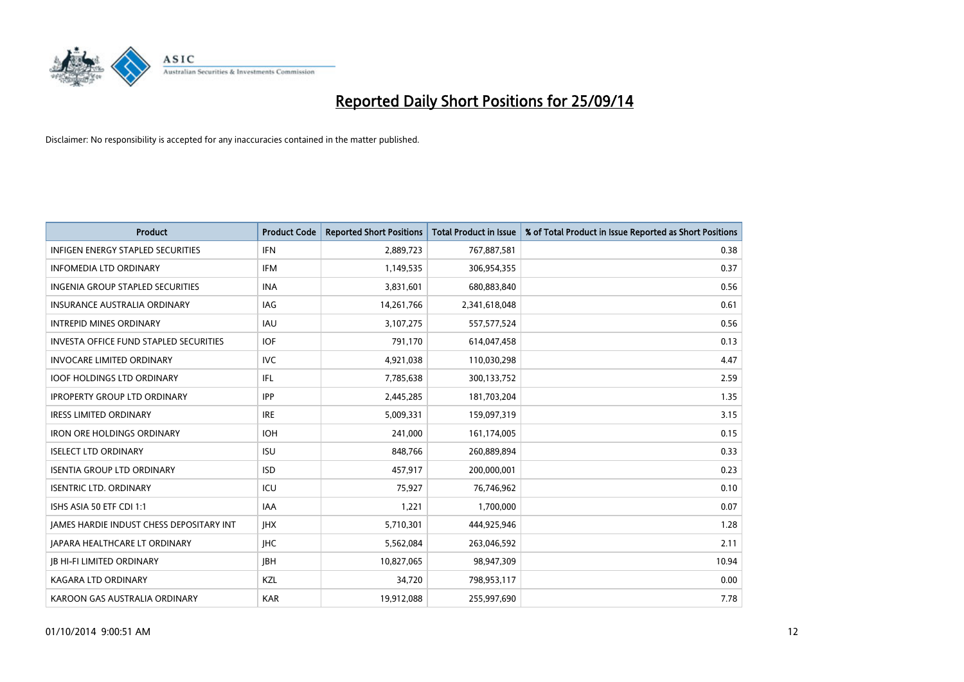

| <b>Product</b>                                | <b>Product Code</b> | <b>Reported Short Positions</b> | <b>Total Product in Issue</b> | % of Total Product in Issue Reported as Short Positions |
|-----------------------------------------------|---------------------|---------------------------------|-------------------------------|---------------------------------------------------------|
| <b>INFIGEN ENERGY STAPLED SECURITIES</b>      | <b>IFN</b>          | 2,889,723                       | 767,887,581                   | 0.38                                                    |
| <b>INFOMEDIA LTD ORDINARY</b>                 | <b>IFM</b>          | 1,149,535                       | 306,954,355                   | 0.37                                                    |
| INGENIA GROUP STAPLED SECURITIES              | <b>INA</b>          | 3,831,601                       | 680,883,840                   | 0.56                                                    |
| INSURANCE AUSTRALIA ORDINARY                  | IAG                 | 14,261,766                      | 2,341,618,048                 | 0.61                                                    |
| <b>INTREPID MINES ORDINARY</b>                | <b>IAU</b>          | 3,107,275                       | 557,577,524                   | 0.56                                                    |
| <b>INVESTA OFFICE FUND STAPLED SECURITIES</b> | <b>IOF</b>          | 791,170                         | 614,047,458                   | 0.13                                                    |
| <b>INVOCARE LIMITED ORDINARY</b>              | <b>IVC</b>          | 4,921,038                       | 110,030,298                   | 4.47                                                    |
| <b>IOOF HOLDINGS LTD ORDINARY</b>             | IFL                 | 7,785,638                       | 300,133,752                   | 2.59                                                    |
| <b>IPROPERTY GROUP LTD ORDINARY</b>           | <b>IPP</b>          | 2,445,285                       | 181,703,204                   | 1.35                                                    |
| <b>IRESS LIMITED ORDINARY</b>                 | <b>IRE</b>          | 5,009,331                       | 159,097,319                   | 3.15                                                    |
| <b>IRON ORE HOLDINGS ORDINARY</b>             | <b>IOH</b>          | 241,000                         | 161,174,005                   | 0.15                                                    |
| <b>ISELECT LTD ORDINARY</b>                   | <b>ISU</b>          | 848,766                         | 260,889,894                   | 0.33                                                    |
| <b>ISENTIA GROUP LTD ORDINARY</b>             | <b>ISD</b>          | 457,917                         | 200,000,001                   | 0.23                                                    |
| <b>ISENTRIC LTD. ORDINARY</b>                 | ICU                 | 75,927                          | 76,746,962                    | 0.10                                                    |
| ISHS ASIA 50 ETF CDI 1:1                      | <b>IAA</b>          | 1,221                           | 1,700,000                     | 0.07                                                    |
| JAMES HARDIE INDUST CHESS DEPOSITARY INT      | <b>IHX</b>          | 5,710,301                       | 444,925,946                   | 1.28                                                    |
| <b>JAPARA HEALTHCARE LT ORDINARY</b>          | <b>IHC</b>          | 5,562,084                       | 263,046,592                   | 2.11                                                    |
| <b>JB HI-FI LIMITED ORDINARY</b>              | JBH                 | 10,827,065                      | 98,947,309                    | 10.94                                                   |
| KAGARA LTD ORDINARY                           | KZL                 | 34,720                          | 798,953,117                   | 0.00                                                    |
| KAROON GAS AUSTRALIA ORDINARY                 | <b>KAR</b>          | 19,912,088                      | 255,997,690                   | 7.78                                                    |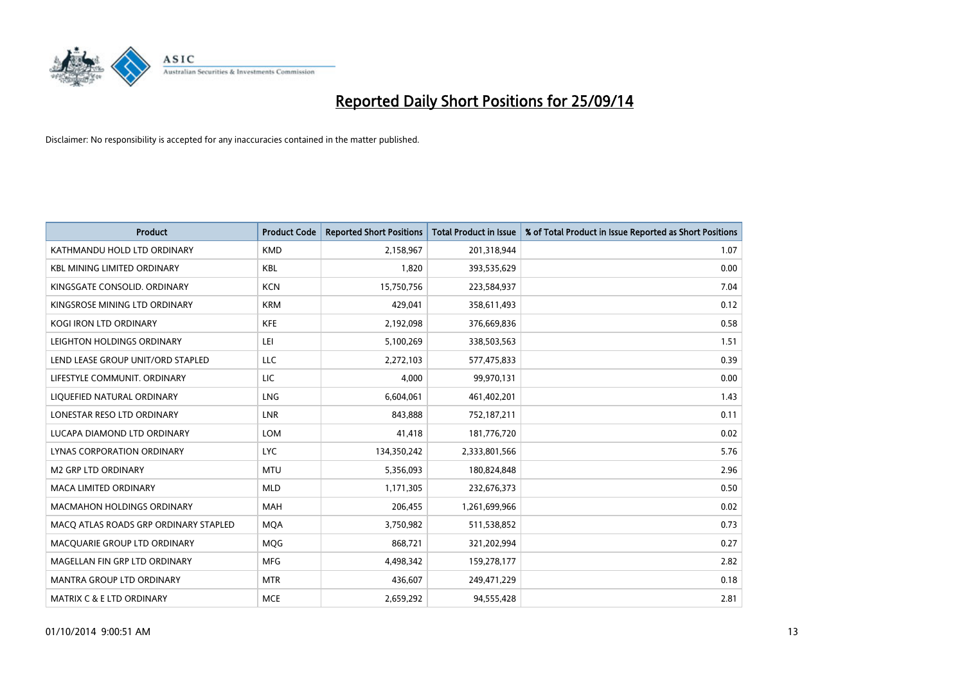

| <b>Product</b>                        | <b>Product Code</b> | <b>Reported Short Positions</b> | <b>Total Product in Issue</b> | % of Total Product in Issue Reported as Short Positions |
|---------------------------------------|---------------------|---------------------------------|-------------------------------|---------------------------------------------------------|
| KATHMANDU HOLD LTD ORDINARY           | <b>KMD</b>          | 2,158,967                       | 201,318,944                   | 1.07                                                    |
| <b>KBL MINING LIMITED ORDINARY</b>    | KBL                 | 1,820                           | 393,535,629                   | 0.00                                                    |
| KINGSGATE CONSOLID. ORDINARY          | <b>KCN</b>          | 15,750,756                      | 223,584,937                   | 7.04                                                    |
| KINGSROSE MINING LTD ORDINARY         | <b>KRM</b>          | 429,041                         | 358,611,493                   | 0.12                                                    |
| <b>KOGI IRON LTD ORDINARY</b>         | <b>KFE</b>          | 2,192,098                       | 376,669,836                   | 0.58                                                    |
| LEIGHTON HOLDINGS ORDINARY            | LEI.                | 5,100,269                       | 338,503,563                   | 1.51                                                    |
| LEND LEASE GROUP UNIT/ORD STAPLED     | LLC                 | 2,272,103                       | 577,475,833                   | 0.39                                                    |
| LIFESTYLE COMMUNIT. ORDINARY          | LIC                 | 4,000                           | 99,970,131                    | 0.00                                                    |
| LIQUEFIED NATURAL ORDINARY            | LNG                 | 6,604,061                       | 461,402,201                   | 1.43                                                    |
| LONESTAR RESO LTD ORDINARY            | <b>LNR</b>          | 843,888                         | 752,187,211                   | 0.11                                                    |
| LUCAPA DIAMOND LTD ORDINARY           | LOM                 | 41,418                          | 181,776,720                   | 0.02                                                    |
| <b>LYNAS CORPORATION ORDINARY</b>     | <b>LYC</b>          | 134,350,242                     | 2,333,801,566                 | 5.76                                                    |
| M2 GRP LTD ORDINARY                   | <b>MTU</b>          | 5,356,093                       | 180,824,848                   | 2.96                                                    |
| <b>MACA LIMITED ORDINARY</b>          | <b>MLD</b>          | 1,171,305                       | 232,676,373                   | 0.50                                                    |
| <b>MACMAHON HOLDINGS ORDINARY</b>     | <b>MAH</b>          | 206,455                         | 1,261,699,966                 | 0.02                                                    |
| MACO ATLAS ROADS GRP ORDINARY STAPLED | <b>MOA</b>          | 3,750,982                       | 511,538,852                   | 0.73                                                    |
| MACQUARIE GROUP LTD ORDINARY          | <b>MQG</b>          | 868,721                         | 321,202,994                   | 0.27                                                    |
| MAGELLAN FIN GRP LTD ORDINARY         | <b>MFG</b>          | 4,498,342                       | 159,278,177                   | 2.82                                                    |
| <b>MANTRA GROUP LTD ORDINARY</b>      | <b>MTR</b>          | 436,607                         | 249,471,229                   | 0.18                                                    |
| <b>MATRIX C &amp; E LTD ORDINARY</b>  | <b>MCE</b>          | 2,659,292                       | 94,555,428                    | 2.81                                                    |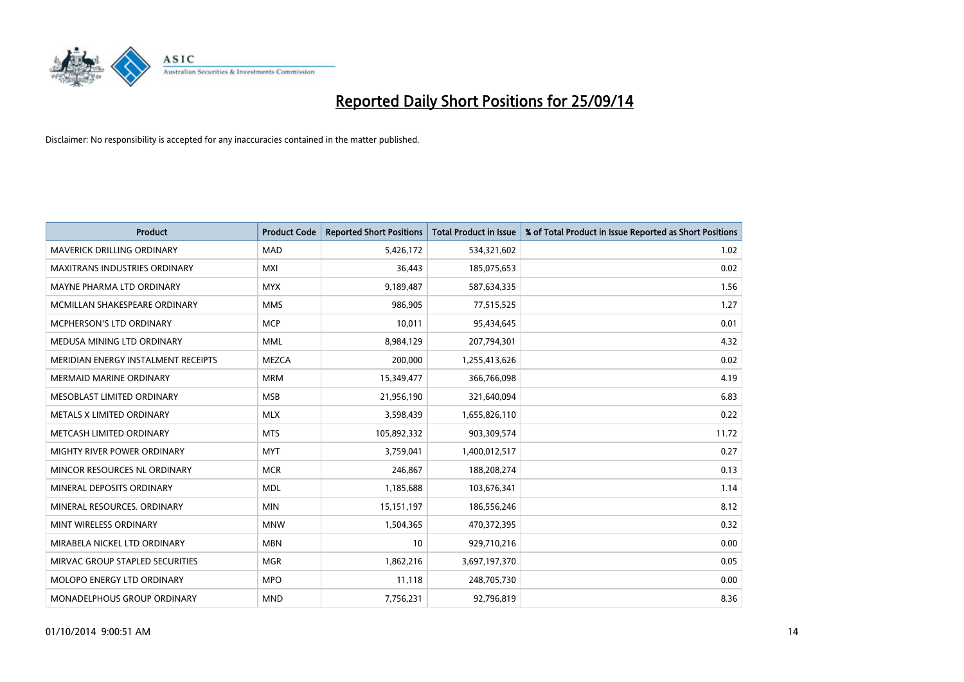

| <b>Product</b>                      | <b>Product Code</b> | <b>Reported Short Positions</b> | <b>Total Product in Issue</b> | % of Total Product in Issue Reported as Short Positions |
|-------------------------------------|---------------------|---------------------------------|-------------------------------|---------------------------------------------------------|
| <b>MAVERICK DRILLING ORDINARY</b>   | <b>MAD</b>          | 5,426,172                       | 534,321,602                   | 1.02                                                    |
| MAXITRANS INDUSTRIES ORDINARY       | MXI                 | 36,443                          | 185,075,653                   | 0.02                                                    |
| MAYNE PHARMA LTD ORDINARY           | <b>MYX</b>          | 9,189,487                       | 587,634,335                   | 1.56                                                    |
| MCMILLAN SHAKESPEARE ORDINARY       | <b>MMS</b>          | 986,905                         | 77,515,525                    | 1.27                                                    |
| <b>MCPHERSON'S LTD ORDINARY</b>     | <b>MCP</b>          | 10,011                          | 95,434,645                    | 0.01                                                    |
| MEDUSA MINING LTD ORDINARY          | <b>MML</b>          | 8,984,129                       | 207,794,301                   | 4.32                                                    |
| MERIDIAN ENERGY INSTALMENT RECEIPTS | <b>MEZCA</b>        | 200,000                         | 1,255,413,626                 | 0.02                                                    |
| <b>MERMAID MARINE ORDINARY</b>      | <b>MRM</b>          | 15,349,477                      | 366,766,098                   | 4.19                                                    |
| MESOBLAST LIMITED ORDINARY          | <b>MSB</b>          | 21,956,190                      | 321,640,094                   | 6.83                                                    |
| METALS X LIMITED ORDINARY           | <b>MLX</b>          | 3,598,439                       | 1,655,826,110                 | 0.22                                                    |
| METCASH LIMITED ORDINARY            | <b>MTS</b>          | 105,892,332                     | 903,309,574                   | 11.72                                                   |
| MIGHTY RIVER POWER ORDINARY         | <b>MYT</b>          | 3,759,041                       | 1,400,012,517                 | 0.27                                                    |
| MINCOR RESOURCES NL ORDINARY        | <b>MCR</b>          | 246,867                         | 188,208,274                   | 0.13                                                    |
| MINERAL DEPOSITS ORDINARY           | <b>MDL</b>          | 1,185,688                       | 103,676,341                   | 1.14                                                    |
| MINERAL RESOURCES, ORDINARY         | <b>MIN</b>          | 15, 151, 197                    | 186,556,246                   | 8.12                                                    |
| MINT WIRELESS ORDINARY              | <b>MNW</b>          | 1,504,365                       | 470,372,395                   | 0.32                                                    |
| MIRABELA NICKEL LTD ORDINARY        | <b>MBN</b>          | 10                              | 929,710,216                   | 0.00                                                    |
| MIRVAC GROUP STAPLED SECURITIES     | <b>MGR</b>          | 1,862,216                       | 3,697,197,370                 | 0.05                                                    |
| MOLOPO ENERGY LTD ORDINARY          | <b>MPO</b>          | 11,118                          | 248,705,730                   | 0.00                                                    |
| <b>MONADELPHOUS GROUP ORDINARY</b>  | <b>MND</b>          | 7,756,231                       | 92,796,819                    | 8.36                                                    |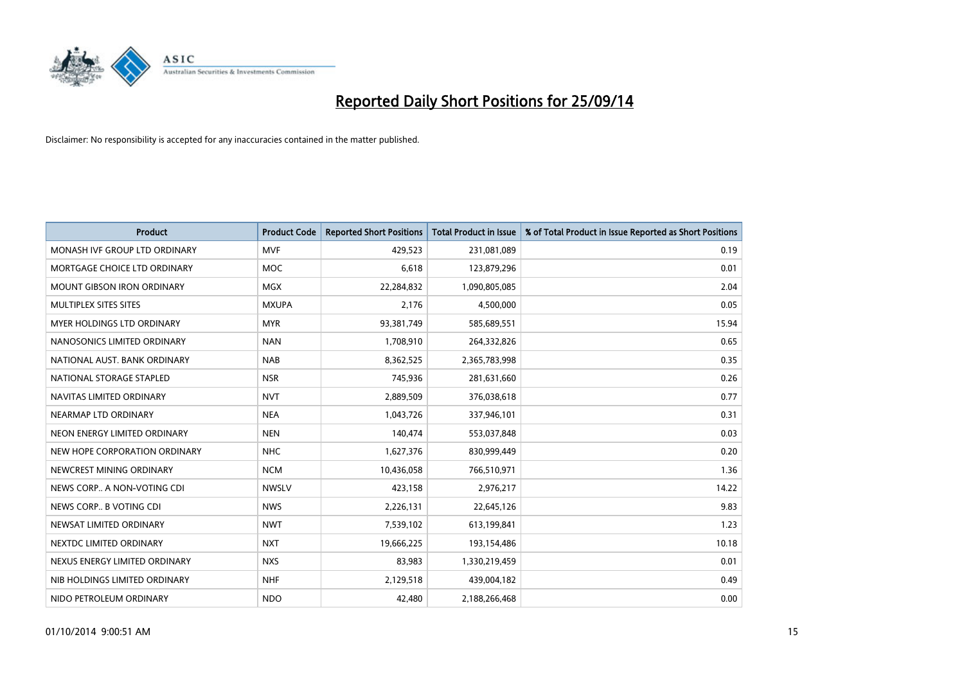

| <b>Product</b>                    | <b>Product Code</b> | <b>Reported Short Positions</b> | <b>Total Product in Issue</b> | % of Total Product in Issue Reported as Short Positions |
|-----------------------------------|---------------------|---------------------------------|-------------------------------|---------------------------------------------------------|
| MONASH IVF GROUP LTD ORDINARY     | <b>MVF</b>          | 429,523                         | 231,081,089                   | 0.19                                                    |
| MORTGAGE CHOICE LTD ORDINARY      | <b>MOC</b>          | 6,618                           | 123,879,296                   | 0.01                                                    |
| <b>MOUNT GIBSON IRON ORDINARY</b> | <b>MGX</b>          | 22,284,832                      | 1,090,805,085                 | 2.04                                                    |
| MULTIPLEX SITES SITES             | <b>MXUPA</b>        | 2,176                           | 4,500,000                     | 0.05                                                    |
| <b>MYER HOLDINGS LTD ORDINARY</b> | <b>MYR</b>          | 93,381,749                      | 585,689,551                   | 15.94                                                   |
| NANOSONICS LIMITED ORDINARY       | <b>NAN</b>          | 1,708,910                       | 264,332,826                   | 0.65                                                    |
| NATIONAL AUST. BANK ORDINARY      | <b>NAB</b>          | 8,362,525                       | 2,365,783,998                 | 0.35                                                    |
| NATIONAL STORAGE STAPLED          | <b>NSR</b>          | 745,936                         | 281,631,660                   | 0.26                                                    |
| NAVITAS LIMITED ORDINARY          | <b>NVT</b>          | 2,889,509                       | 376,038,618                   | 0.77                                                    |
| NEARMAP LTD ORDINARY              | <b>NEA</b>          | 1,043,726                       | 337,946,101                   | 0.31                                                    |
| NEON ENERGY LIMITED ORDINARY      | <b>NEN</b>          | 140,474                         | 553,037,848                   | 0.03                                                    |
| NEW HOPE CORPORATION ORDINARY     | <b>NHC</b>          | 1,627,376                       | 830,999,449                   | 0.20                                                    |
| NEWCREST MINING ORDINARY          | <b>NCM</b>          | 10,436,058                      | 766,510,971                   | 1.36                                                    |
| NEWS CORP A NON-VOTING CDI        | <b>NWSLV</b>        | 423,158                         | 2,976,217                     | 14.22                                                   |
| NEWS CORP B VOTING CDI            | <b>NWS</b>          | 2,226,131                       | 22,645,126                    | 9.83                                                    |
| NEWSAT LIMITED ORDINARY           | <b>NWT</b>          | 7,539,102                       | 613,199,841                   | 1.23                                                    |
| NEXTDC LIMITED ORDINARY           | <b>NXT</b>          | 19,666,225                      | 193,154,486                   | 10.18                                                   |
| NEXUS ENERGY LIMITED ORDINARY     | <b>NXS</b>          | 83,983                          | 1,330,219,459                 | 0.01                                                    |
| NIB HOLDINGS LIMITED ORDINARY     | <b>NHF</b>          | 2,129,518                       | 439,004,182                   | 0.49                                                    |
| NIDO PETROLEUM ORDINARY           | <b>NDO</b>          | 42,480                          | 2,188,266,468                 | 0.00                                                    |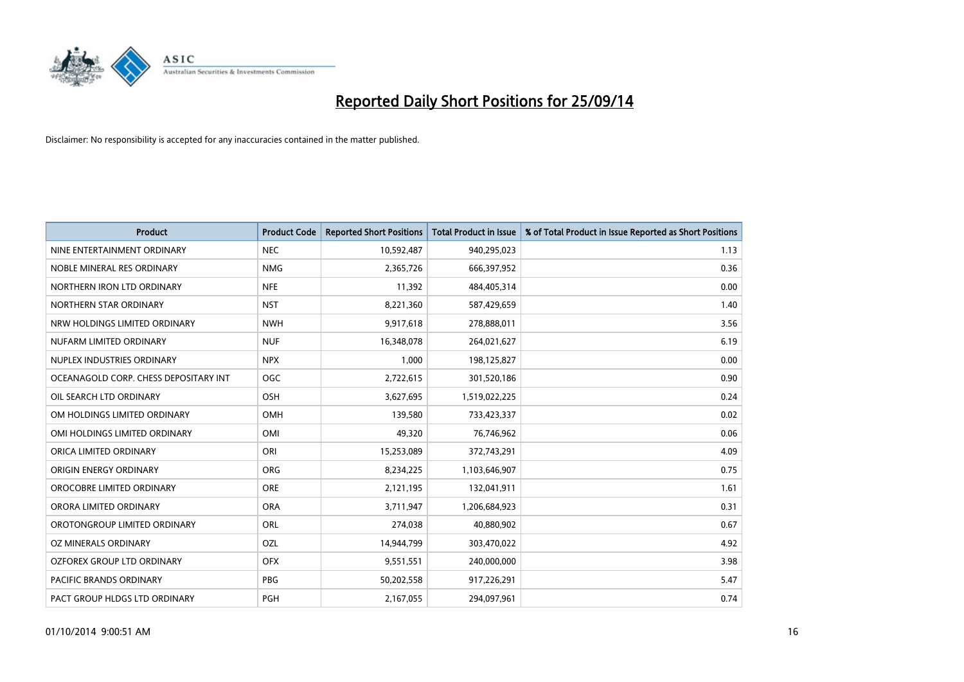

| <b>Product</b>                        | <b>Product Code</b> | <b>Reported Short Positions</b> | <b>Total Product in Issue</b> | % of Total Product in Issue Reported as Short Positions |
|---------------------------------------|---------------------|---------------------------------|-------------------------------|---------------------------------------------------------|
| NINE ENTERTAINMENT ORDINARY           | <b>NEC</b>          | 10,592,487                      | 940,295,023                   | 1.13                                                    |
| NOBLE MINERAL RES ORDINARY            | <b>NMG</b>          | 2,365,726                       | 666,397,952                   | 0.36                                                    |
| NORTHERN IRON LTD ORDINARY            | <b>NFE</b>          | 11,392                          | 484,405,314                   | 0.00                                                    |
| NORTHERN STAR ORDINARY                | <b>NST</b>          | 8,221,360                       | 587,429,659                   | 1.40                                                    |
| NRW HOLDINGS LIMITED ORDINARY         | <b>NWH</b>          | 9,917,618                       | 278,888,011                   | 3.56                                                    |
| NUFARM LIMITED ORDINARY               | <b>NUF</b>          | 16,348,078                      | 264,021,627                   | 6.19                                                    |
| NUPLEX INDUSTRIES ORDINARY            | <b>NPX</b>          | 1,000                           | 198,125,827                   | 0.00                                                    |
| OCEANAGOLD CORP. CHESS DEPOSITARY INT | OGC                 | 2,722,615                       | 301,520,186                   | 0.90                                                    |
| OIL SEARCH LTD ORDINARY               | OSH                 | 3,627,695                       | 1,519,022,225                 | 0.24                                                    |
| OM HOLDINGS LIMITED ORDINARY          | OMH                 | 139,580                         | 733,423,337                   | 0.02                                                    |
| OMI HOLDINGS LIMITED ORDINARY         | OMI                 | 49,320                          | 76,746,962                    | 0.06                                                    |
| ORICA LIMITED ORDINARY                | ORI                 | 15,253,089                      | 372,743,291                   | 4.09                                                    |
| ORIGIN ENERGY ORDINARY                | <b>ORG</b>          | 8,234,225                       | 1,103,646,907                 | 0.75                                                    |
| OROCOBRE LIMITED ORDINARY             | <b>ORE</b>          | 2,121,195                       | 132,041,911                   | 1.61                                                    |
| ORORA LIMITED ORDINARY                | <b>ORA</b>          | 3,711,947                       | 1,206,684,923                 | 0.31                                                    |
| OROTONGROUP LIMITED ORDINARY          | ORL                 | 274,038                         | 40,880,902                    | 0.67                                                    |
| OZ MINERALS ORDINARY                  | OZL                 | 14,944,799                      | 303,470,022                   | 4.92                                                    |
| OZFOREX GROUP LTD ORDINARY            | <b>OFX</b>          | 9,551,551                       | 240,000,000                   | 3.98                                                    |
| <b>PACIFIC BRANDS ORDINARY</b>        | <b>PBG</b>          | 50,202,558                      | 917,226,291                   | 5.47                                                    |
| PACT GROUP HLDGS LTD ORDINARY         | <b>PGH</b>          | 2,167,055                       | 294,097,961                   | 0.74                                                    |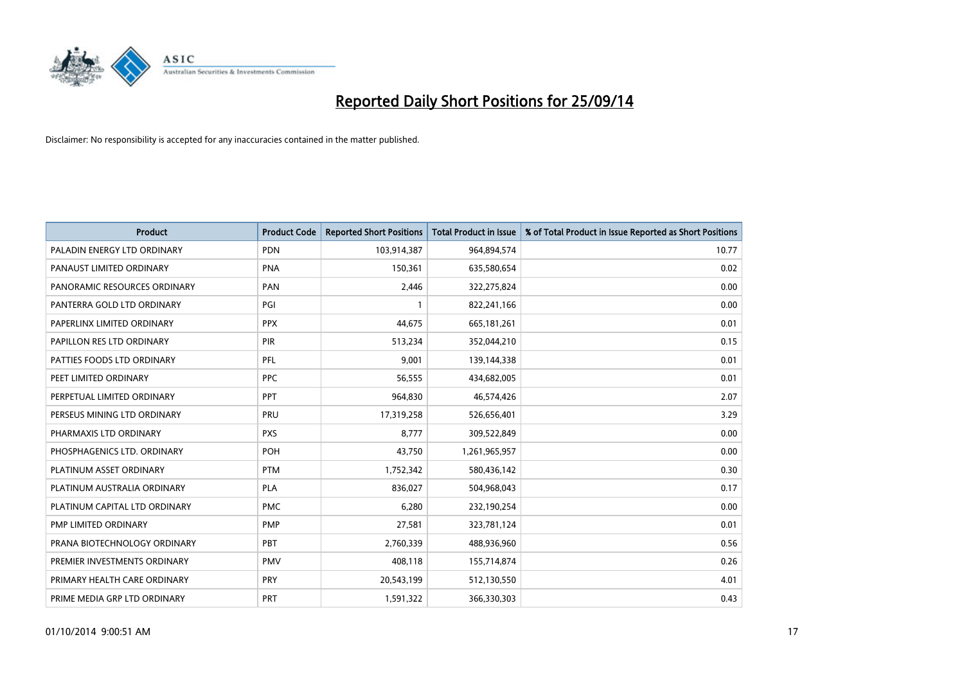

| <b>Product</b>                | <b>Product Code</b> | <b>Reported Short Positions</b> | <b>Total Product in Issue</b> | % of Total Product in Issue Reported as Short Positions |
|-------------------------------|---------------------|---------------------------------|-------------------------------|---------------------------------------------------------|
| PALADIN ENERGY LTD ORDINARY   | <b>PDN</b>          | 103,914,387                     | 964,894,574                   | 10.77                                                   |
| PANAUST LIMITED ORDINARY      | <b>PNA</b>          | 150,361                         | 635,580,654                   | 0.02                                                    |
| PANORAMIC RESOURCES ORDINARY  | <b>PAN</b>          | 2,446                           | 322,275,824                   | 0.00                                                    |
| PANTERRA GOLD LTD ORDINARY    | PGI                 |                                 | 822,241,166                   | 0.00                                                    |
| PAPERLINX LIMITED ORDINARY    | <b>PPX</b>          | 44,675                          | 665,181,261                   | 0.01                                                    |
| PAPILLON RES LTD ORDINARY     | <b>PIR</b>          | 513,234                         | 352,044,210                   | 0.15                                                    |
| PATTIES FOODS LTD ORDINARY    | PFL                 | 9,001                           | 139,144,338                   | 0.01                                                    |
| PEET LIMITED ORDINARY         | <b>PPC</b>          | 56,555                          | 434,682,005                   | 0.01                                                    |
| PERPETUAL LIMITED ORDINARY    | PPT                 | 964,830                         | 46,574,426                    | 2.07                                                    |
| PERSEUS MINING LTD ORDINARY   | PRU                 | 17,319,258                      | 526,656,401                   | 3.29                                                    |
| PHARMAXIS LTD ORDINARY        | <b>PXS</b>          | 8,777                           | 309,522,849                   | 0.00                                                    |
| PHOSPHAGENICS LTD. ORDINARY   | <b>POH</b>          | 43,750                          | 1,261,965,957                 | 0.00                                                    |
| PLATINUM ASSET ORDINARY       | <b>PTM</b>          | 1,752,342                       | 580,436,142                   | 0.30                                                    |
| PLATINUM AUSTRALIA ORDINARY   | <b>PLA</b>          | 836,027                         | 504,968,043                   | 0.17                                                    |
| PLATINUM CAPITAL LTD ORDINARY | <b>PMC</b>          | 6,280                           | 232,190,254                   | 0.00                                                    |
| PMP LIMITED ORDINARY          | <b>PMP</b>          | 27,581                          | 323,781,124                   | 0.01                                                    |
| PRANA BIOTECHNOLOGY ORDINARY  | <b>PBT</b>          | 2,760,339                       | 488,936,960                   | 0.56                                                    |
| PREMIER INVESTMENTS ORDINARY  | <b>PMV</b>          | 408,118                         | 155,714,874                   | 0.26                                                    |
| PRIMARY HEALTH CARE ORDINARY  | <b>PRY</b>          | 20,543,199                      | 512,130,550                   | 4.01                                                    |
| PRIME MEDIA GRP LTD ORDINARY  | <b>PRT</b>          | 1,591,322                       | 366,330,303                   | 0.43                                                    |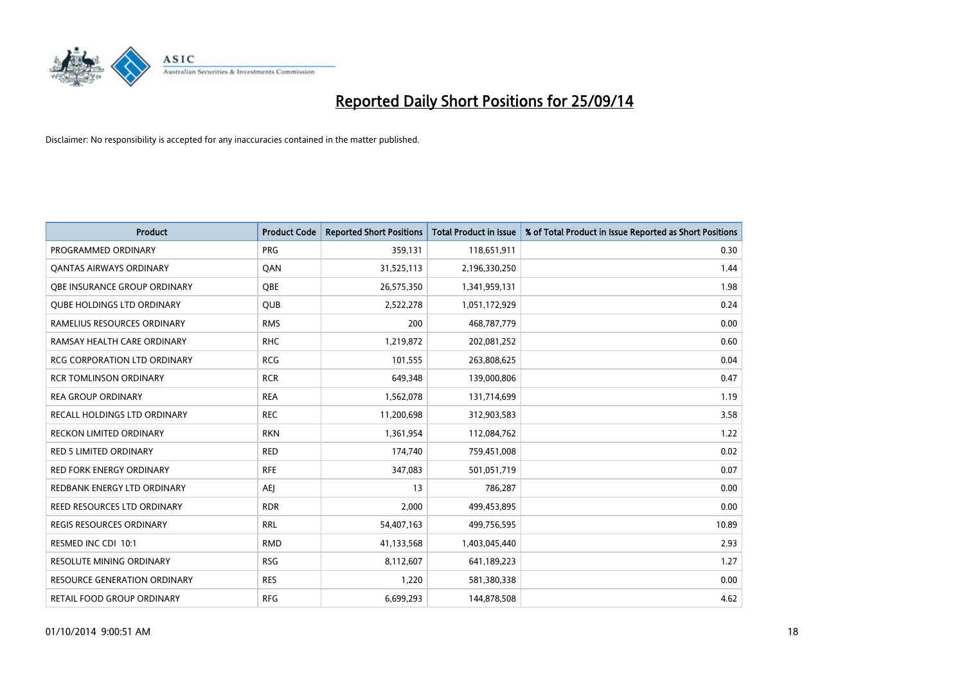

| <b>Product</b>                      | <b>Product Code</b> | <b>Reported Short Positions</b> | <b>Total Product in Issue</b> | % of Total Product in Issue Reported as Short Positions |
|-------------------------------------|---------------------|---------------------------------|-------------------------------|---------------------------------------------------------|
| PROGRAMMED ORDINARY                 | <b>PRG</b>          | 359,131                         | 118,651,911                   | 0.30                                                    |
| <b>QANTAS AIRWAYS ORDINARY</b>      | QAN                 | 31,525,113                      | 2,196,330,250                 | 1.44                                                    |
| <b>OBE INSURANCE GROUP ORDINARY</b> | <b>OBE</b>          | 26,575,350                      | 1,341,959,131                 | 1.98                                                    |
| <b>QUBE HOLDINGS LTD ORDINARY</b>   | QUB                 | 2,522,278                       | 1,051,172,929                 | 0.24                                                    |
| RAMELIUS RESOURCES ORDINARY         | <b>RMS</b>          | 200                             | 468,787,779                   | 0.00                                                    |
| RAMSAY HEALTH CARE ORDINARY         | <b>RHC</b>          | 1,219,872                       | 202,081,252                   | 0.60                                                    |
| <b>RCG CORPORATION LTD ORDINARY</b> | <b>RCG</b>          | 101,555                         | 263,808,625                   | 0.04                                                    |
| RCR TOMLINSON ORDINARY              | <b>RCR</b>          | 649,348                         | 139,000,806                   | 0.47                                                    |
| <b>REA GROUP ORDINARY</b>           | <b>REA</b>          | 1,562,078                       | 131,714,699                   | 1.19                                                    |
| <b>RECALL HOLDINGS LTD ORDINARY</b> | <b>REC</b>          | 11,200,698                      | 312,903,583                   | 3.58                                                    |
| RECKON LIMITED ORDINARY             | <b>RKN</b>          | 1,361,954                       | 112,084,762                   | 1.22                                                    |
| <b>RED 5 LIMITED ORDINARY</b>       | <b>RED</b>          | 174,740                         | 759,451,008                   | 0.02                                                    |
| RED FORK ENERGY ORDINARY            | <b>RFE</b>          | 347,083                         | 501,051,719                   | 0.07                                                    |
| REDBANK ENERGY LTD ORDINARY         | <b>AEJ</b>          | 13                              | 786,287                       | 0.00                                                    |
| <b>REED RESOURCES LTD ORDINARY</b>  | <b>RDR</b>          | 2,000                           | 499,453,895                   | 0.00                                                    |
| <b>REGIS RESOURCES ORDINARY</b>     | <b>RRL</b>          | 54,407,163                      | 499,756,595                   | 10.89                                                   |
| RESMED INC CDI 10:1                 | <b>RMD</b>          | 41,133,568                      | 1,403,045,440                 | 2.93                                                    |
| RESOLUTE MINING ORDINARY            | <b>RSG</b>          | 8,112,607                       | 641,189,223                   | 1.27                                                    |
| <b>RESOURCE GENERATION ORDINARY</b> | <b>RES</b>          | 1,220                           | 581,380,338                   | 0.00                                                    |
| RETAIL FOOD GROUP ORDINARY          | <b>RFG</b>          | 6,699,293                       | 144,878,508                   | 4.62                                                    |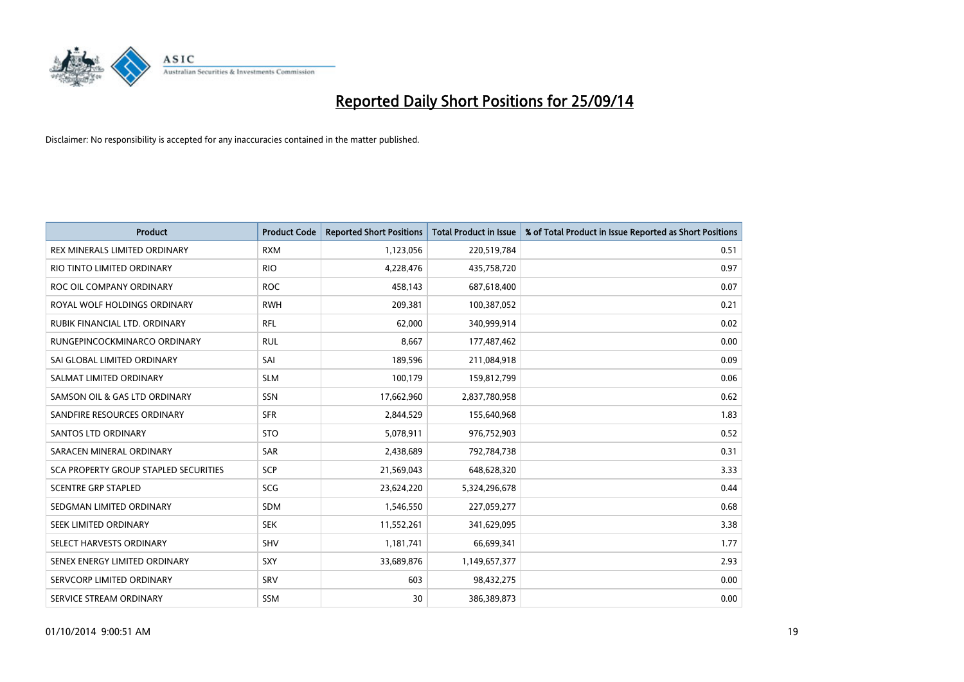

| <b>Product</b>                        | <b>Product Code</b> | <b>Reported Short Positions</b> | <b>Total Product in Issue</b> | % of Total Product in Issue Reported as Short Positions |
|---------------------------------------|---------------------|---------------------------------|-------------------------------|---------------------------------------------------------|
| REX MINERALS LIMITED ORDINARY         | <b>RXM</b>          | 1,123,056                       | 220,519,784                   | 0.51                                                    |
| RIO TINTO LIMITED ORDINARY            | <b>RIO</b>          | 4,228,476                       | 435,758,720                   | 0.97                                                    |
| ROC OIL COMPANY ORDINARY              | <b>ROC</b>          | 458,143                         | 687,618,400                   | 0.07                                                    |
| ROYAL WOLF HOLDINGS ORDINARY          | <b>RWH</b>          | 209,381                         | 100,387,052                   | 0.21                                                    |
| RUBIK FINANCIAL LTD, ORDINARY         | <b>RFL</b>          | 62,000                          | 340,999,914                   | 0.02                                                    |
| RUNGEPINCOCKMINARCO ORDINARY          | <b>RUL</b>          | 8,667                           | 177,487,462                   | 0.00                                                    |
| SAI GLOBAL LIMITED ORDINARY           | SAI                 | 189,596                         | 211,084,918                   | 0.09                                                    |
| SALMAT LIMITED ORDINARY               | <b>SLM</b>          | 100,179                         | 159,812,799                   | 0.06                                                    |
| SAMSON OIL & GAS LTD ORDINARY         | SSN                 | 17,662,960                      | 2,837,780,958                 | 0.62                                                    |
| SANDFIRE RESOURCES ORDINARY           | <b>SFR</b>          | 2,844,529                       | 155,640,968                   | 1.83                                                    |
| SANTOS LTD ORDINARY                   | <b>STO</b>          | 5,078,911                       | 976,752,903                   | 0.52                                                    |
| SARACEN MINERAL ORDINARY              | SAR                 | 2,438,689                       | 792,784,738                   | 0.31                                                    |
| SCA PROPERTY GROUP STAPLED SECURITIES | <b>SCP</b>          | 21,569,043                      | 648,628,320                   | 3.33                                                    |
| <b>SCENTRE GRP STAPLED</b>            | SCG                 | 23,624,220                      | 5,324,296,678                 | 0.44                                                    |
| SEDGMAN LIMITED ORDINARY              | <b>SDM</b>          | 1,546,550                       | 227,059,277                   | 0.68                                                    |
| SEEK LIMITED ORDINARY                 | <b>SEK</b>          | 11,552,261                      | 341,629,095                   | 3.38                                                    |
| SELECT HARVESTS ORDINARY              | SHV                 | 1,181,741                       | 66,699,341                    | 1.77                                                    |
| SENEX ENERGY LIMITED ORDINARY         | <b>SXY</b>          | 33,689,876                      | 1,149,657,377                 | 2.93                                                    |
| SERVCORP LIMITED ORDINARY             | SRV                 | 603                             | 98,432,275                    | 0.00                                                    |
| SERVICE STREAM ORDINARY               | <b>SSM</b>          | 30                              | 386,389,873                   | 0.00                                                    |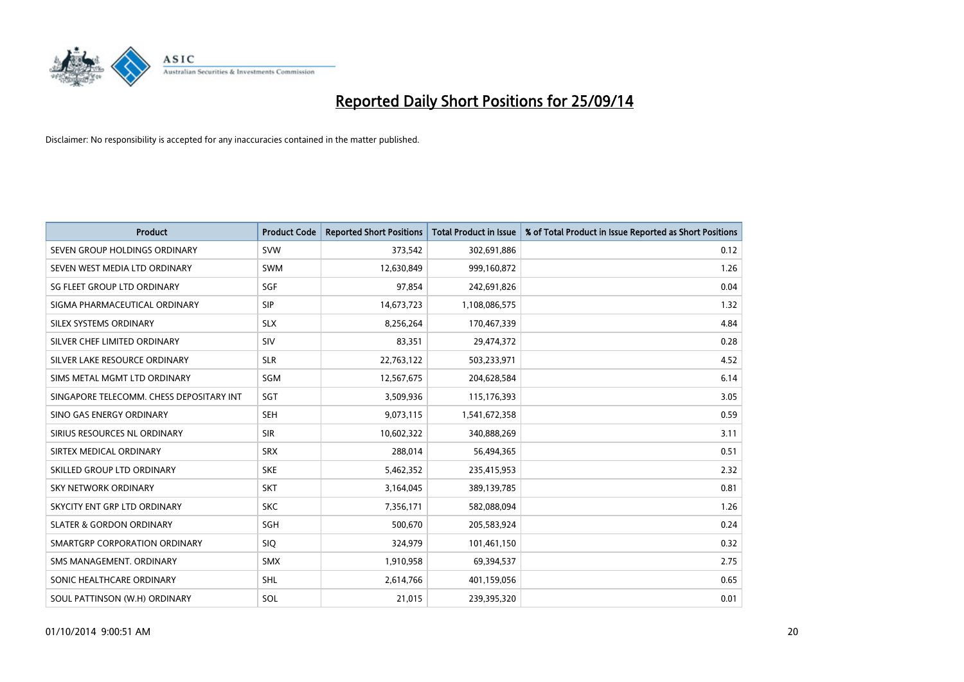

| <b>Product</b>                           | <b>Product Code</b> | <b>Reported Short Positions</b> | <b>Total Product in Issue</b> | % of Total Product in Issue Reported as Short Positions |
|------------------------------------------|---------------------|---------------------------------|-------------------------------|---------------------------------------------------------|
| SEVEN GROUP HOLDINGS ORDINARY            | <b>SVW</b>          | 373,542                         | 302,691,886                   | 0.12                                                    |
| SEVEN WEST MEDIA LTD ORDINARY            | <b>SWM</b>          | 12,630,849                      | 999,160,872                   | 1.26                                                    |
| SG FLEET GROUP LTD ORDINARY              | SGF                 | 97,854                          | 242,691,826                   | 0.04                                                    |
| SIGMA PHARMACEUTICAL ORDINARY            | <b>SIP</b>          | 14,673,723                      | 1,108,086,575                 | 1.32                                                    |
| SILEX SYSTEMS ORDINARY                   | <b>SLX</b>          | 8,256,264                       | 170,467,339                   | 4.84                                                    |
| SILVER CHEF LIMITED ORDINARY             | SIV                 | 83,351                          | 29,474,372                    | 0.28                                                    |
| SILVER LAKE RESOURCE ORDINARY            | <b>SLR</b>          | 22,763,122                      | 503,233,971                   | 4.52                                                    |
| SIMS METAL MGMT LTD ORDINARY             | SGM                 | 12,567,675                      | 204,628,584                   | 6.14                                                    |
| SINGAPORE TELECOMM. CHESS DEPOSITARY INT | SGT                 | 3,509,936                       | 115,176,393                   | 3.05                                                    |
| SINO GAS ENERGY ORDINARY                 | <b>SEH</b>          | 9,073,115                       | 1,541,672,358                 | 0.59                                                    |
| SIRIUS RESOURCES NL ORDINARY             | <b>SIR</b>          | 10,602,322                      | 340,888,269                   | 3.11                                                    |
| SIRTEX MEDICAL ORDINARY                  | <b>SRX</b>          | 288,014                         | 56,494,365                    | 0.51                                                    |
| SKILLED GROUP LTD ORDINARY               | <b>SKE</b>          | 5,462,352                       | 235,415,953                   | 2.32                                                    |
| <b>SKY NETWORK ORDINARY</b>              | <b>SKT</b>          | 3,164,045                       | 389,139,785                   | 0.81                                                    |
| SKYCITY ENT GRP LTD ORDINARY             | <b>SKC</b>          | 7,356,171                       | 582,088,094                   | 1.26                                                    |
| <b>SLATER &amp; GORDON ORDINARY</b>      | SGH                 | 500,670                         | 205,583,924                   | 0.24                                                    |
| SMARTGRP CORPORATION ORDINARY            | <b>SIQ</b>          | 324,979                         | 101,461,150                   | 0.32                                                    |
| SMS MANAGEMENT, ORDINARY                 | <b>SMX</b>          | 1,910,958                       | 69,394,537                    | 2.75                                                    |
| SONIC HEALTHCARE ORDINARY                | <b>SHL</b>          | 2,614,766                       | 401,159,056                   | 0.65                                                    |
| SOUL PATTINSON (W.H) ORDINARY            | SOL                 | 21,015                          | 239,395,320                   | 0.01                                                    |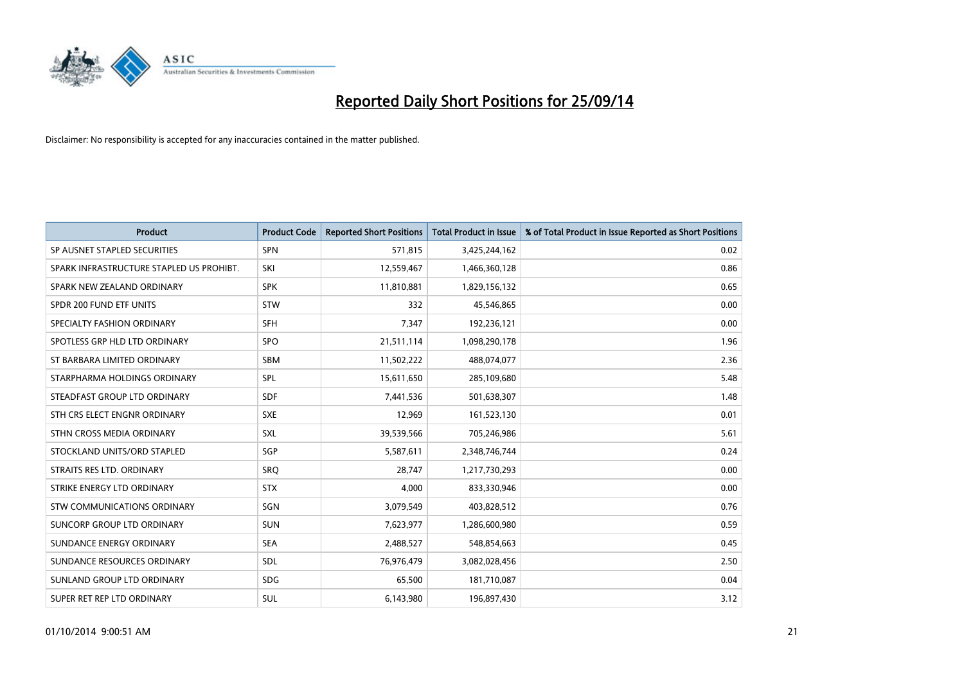

| <b>Product</b>                           | <b>Product Code</b> | <b>Reported Short Positions</b> | <b>Total Product in Issue</b> | % of Total Product in Issue Reported as Short Positions |
|------------------------------------------|---------------------|---------------------------------|-------------------------------|---------------------------------------------------------|
| SP AUSNET STAPLED SECURITIES             | <b>SPN</b>          | 571,815                         | 3,425,244,162                 | 0.02                                                    |
| SPARK INFRASTRUCTURE STAPLED US PROHIBT. | SKI                 | 12,559,467                      | 1,466,360,128                 | 0.86                                                    |
| SPARK NEW ZEALAND ORDINARY               | <b>SPK</b>          | 11,810,881                      | 1,829,156,132                 | 0.65                                                    |
| SPDR 200 FUND ETF UNITS                  | <b>STW</b>          | 332                             | 45,546,865                    | 0.00                                                    |
| SPECIALTY FASHION ORDINARY               | <b>SFH</b>          | 7,347                           | 192,236,121                   | 0.00                                                    |
| SPOTLESS GRP HLD LTD ORDINARY            | <b>SPO</b>          | 21,511,114                      | 1,098,290,178                 | 1.96                                                    |
| ST BARBARA LIMITED ORDINARY              | SBM                 | 11,502,222                      | 488,074,077                   | 2.36                                                    |
| STARPHARMA HOLDINGS ORDINARY             | SPL                 | 15,611,650                      | 285,109,680                   | 5.48                                                    |
| STEADFAST GROUP LTD ORDINARY             | <b>SDF</b>          | 7,441,536                       | 501,638,307                   | 1.48                                                    |
| STH CRS ELECT ENGNR ORDINARY             | <b>SXE</b>          | 12,969                          | 161,523,130                   | 0.01                                                    |
| STHN CROSS MEDIA ORDINARY                | <b>SXL</b>          | 39,539,566                      | 705,246,986                   | 5.61                                                    |
| STOCKLAND UNITS/ORD STAPLED              | SGP                 | 5,587,611                       | 2,348,746,744                 | 0.24                                                    |
| STRAITS RES LTD. ORDINARY                | SRO                 | 28,747                          | 1,217,730,293                 | 0.00                                                    |
| STRIKE ENERGY LTD ORDINARY               | <b>STX</b>          | 4,000                           | 833,330,946                   | 0.00                                                    |
| <b>STW COMMUNICATIONS ORDINARY</b>       | SGN                 | 3,079,549                       | 403,828,512                   | 0.76                                                    |
| SUNCORP GROUP LTD ORDINARY               | <b>SUN</b>          | 7,623,977                       | 1,286,600,980                 | 0.59                                                    |
| SUNDANCE ENERGY ORDINARY                 | <b>SEA</b>          | 2,488,527                       | 548,854,663                   | 0.45                                                    |
| SUNDANCE RESOURCES ORDINARY              | <b>SDL</b>          | 76,976,479                      | 3,082,028,456                 | 2.50                                                    |
| SUNLAND GROUP LTD ORDINARY               | <b>SDG</b>          | 65,500                          | 181,710,087                   | 0.04                                                    |
| SUPER RET REP LTD ORDINARY               | <b>SUL</b>          | 6,143,980                       | 196,897,430                   | 3.12                                                    |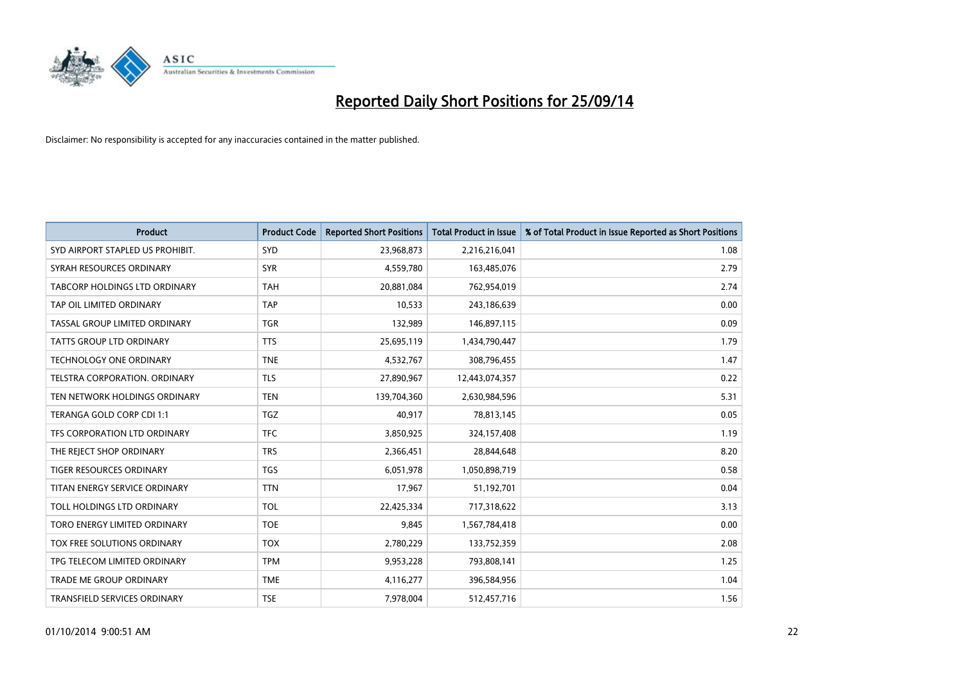

| <b>Product</b>                       | <b>Product Code</b> | <b>Reported Short Positions</b> | <b>Total Product in Issue</b> | % of Total Product in Issue Reported as Short Positions |
|--------------------------------------|---------------------|---------------------------------|-------------------------------|---------------------------------------------------------|
| SYD AIRPORT STAPLED US PROHIBIT.     | <b>SYD</b>          | 23,968,873                      | 2,216,216,041                 | 1.08                                                    |
| SYRAH RESOURCES ORDINARY             | <b>SYR</b>          | 4,559,780                       | 163,485,076                   | 2.79                                                    |
| <b>TABCORP HOLDINGS LTD ORDINARY</b> | <b>TAH</b>          | 20,881,084                      | 762,954,019                   | 2.74                                                    |
| TAP OIL LIMITED ORDINARY             | <b>TAP</b>          | 10,533                          | 243,186,639                   | 0.00                                                    |
| TASSAL GROUP LIMITED ORDINARY        | <b>TGR</b>          | 132,989                         | 146,897,115                   | 0.09                                                    |
| <b>TATTS GROUP LTD ORDINARY</b>      | <b>TTS</b>          | 25,695,119                      | 1,434,790,447                 | 1.79                                                    |
| <b>TECHNOLOGY ONE ORDINARY</b>       | <b>TNE</b>          | 4,532,767                       | 308,796,455                   | 1.47                                                    |
| TELSTRA CORPORATION. ORDINARY        | <b>TLS</b>          | 27,890,967                      | 12,443,074,357                | 0.22                                                    |
| TEN NETWORK HOLDINGS ORDINARY        | <b>TEN</b>          | 139,704,360                     | 2,630,984,596                 | 5.31                                                    |
| TERANGA GOLD CORP CDI 1:1            | <b>TGZ</b>          | 40,917                          | 78,813,145                    | 0.05                                                    |
| TFS CORPORATION LTD ORDINARY         | <b>TFC</b>          | 3,850,925                       | 324,157,408                   | 1.19                                                    |
| THE REJECT SHOP ORDINARY             | <b>TRS</b>          | 2,366,451                       | 28,844,648                    | 8.20                                                    |
| TIGER RESOURCES ORDINARY             | <b>TGS</b>          | 6,051,978                       | 1,050,898,719                 | 0.58                                                    |
| TITAN ENERGY SERVICE ORDINARY        | <b>TTN</b>          | 17,967                          | 51,192,701                    | 0.04                                                    |
| TOLL HOLDINGS LTD ORDINARY           | <b>TOL</b>          | 22,425,334                      | 717,318,622                   | 3.13                                                    |
| TORO ENERGY LIMITED ORDINARY         | <b>TOE</b>          | 9,845                           | 1,567,784,418                 | 0.00                                                    |
| TOX FREE SOLUTIONS ORDINARY          | <b>TOX</b>          | 2,780,229                       | 133,752,359                   | 2.08                                                    |
| TPG TELECOM LIMITED ORDINARY         | <b>TPM</b>          | 9,953,228                       | 793,808,141                   | 1.25                                                    |
| <b>TRADE ME GROUP ORDINARY</b>       | <b>TME</b>          | 4,116,277                       | 396,584,956                   | 1.04                                                    |
| TRANSFIELD SERVICES ORDINARY         | <b>TSE</b>          | 7,978,004                       | 512,457,716                   | 1.56                                                    |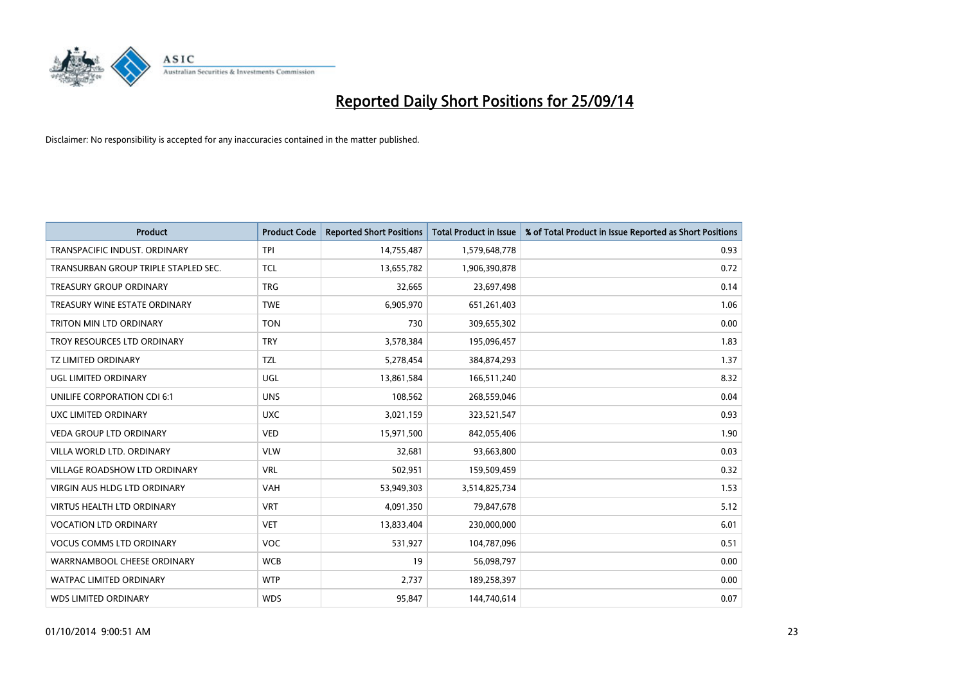

| <b>Product</b>                       | <b>Product Code</b> | <b>Reported Short Positions</b> | <b>Total Product in Issue</b> | % of Total Product in Issue Reported as Short Positions |
|--------------------------------------|---------------------|---------------------------------|-------------------------------|---------------------------------------------------------|
| TRANSPACIFIC INDUST, ORDINARY        | <b>TPI</b>          | 14,755,487                      | 1,579,648,778                 | 0.93                                                    |
| TRANSURBAN GROUP TRIPLE STAPLED SEC. | <b>TCL</b>          | 13,655,782                      | 1,906,390,878                 | 0.72                                                    |
| <b>TREASURY GROUP ORDINARY</b>       | <b>TRG</b>          | 32,665                          | 23,697,498                    | 0.14                                                    |
| TREASURY WINE ESTATE ORDINARY        | <b>TWE</b>          | 6,905,970                       | 651,261,403                   | 1.06                                                    |
| TRITON MIN LTD ORDINARY              | <b>TON</b>          | 730                             | 309,655,302                   | 0.00                                                    |
| TROY RESOURCES LTD ORDINARY          | <b>TRY</b>          | 3,578,384                       | 195,096,457                   | 1.83                                                    |
| TZ LIMITED ORDINARY                  | TZL                 | 5,278,454                       | 384,874,293                   | 1.37                                                    |
| UGL LIMITED ORDINARY                 | UGL                 | 13,861,584                      | 166,511,240                   | 8.32                                                    |
| UNILIFE CORPORATION CDI 6:1          | <b>UNS</b>          | 108,562                         | 268,559,046                   | 0.04                                                    |
| UXC LIMITED ORDINARY                 | <b>UXC</b>          | 3,021,159                       | 323,521,547                   | 0.93                                                    |
| <b>VEDA GROUP LTD ORDINARY</b>       | <b>VED</b>          | 15,971,500                      | 842,055,406                   | 1.90                                                    |
| VILLA WORLD LTD. ORDINARY            | <b>VLW</b>          | 32,681                          | 93,663,800                    | 0.03                                                    |
| <b>VILLAGE ROADSHOW LTD ORDINARY</b> | <b>VRL</b>          | 502,951                         | 159,509,459                   | 0.32                                                    |
| <b>VIRGIN AUS HLDG LTD ORDINARY</b>  | <b>VAH</b>          | 53,949,303                      | 3,514,825,734                 | 1.53                                                    |
| <b>VIRTUS HEALTH LTD ORDINARY</b>    | <b>VRT</b>          | 4,091,350                       | 79,847,678                    | 5.12                                                    |
| <b>VOCATION LTD ORDINARY</b>         | <b>VET</b>          | 13,833,404                      | 230,000,000                   | 6.01                                                    |
| <b>VOCUS COMMS LTD ORDINARY</b>      | <b>VOC</b>          | 531,927                         | 104,787,096                   | 0.51                                                    |
| WARRNAMBOOL CHEESE ORDINARY          | <b>WCB</b>          | 19                              | 56,098,797                    | 0.00                                                    |
| <b>WATPAC LIMITED ORDINARY</b>       | <b>WTP</b>          | 2,737                           | 189,258,397                   | 0.00                                                    |
| <b>WDS LIMITED ORDINARY</b>          | <b>WDS</b>          | 95,847                          | 144,740,614                   | 0.07                                                    |